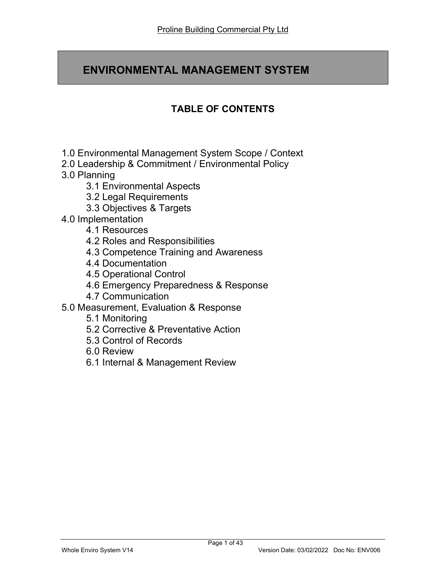# ENVIRONMENTAL MANAGEMENT SYSTEM

# TABLE OF CONTENTS

- 1.0 Environmental Management System Scope / Context
- 2.0 Leadership & Commitment / Environmental Policy
- 3.0 Planning
	- 3.1 Environmental Aspects
	- 3.2 Legal Requirements
	- 3.3 Objectives & Targets
- 4.0 Implementation
	- 4.1 Resources
	- 4.2 Roles and Responsibilities
	- 4.3 Competence Training and Awareness
	- 4.4 Documentation
	- 4.5 Operational Control
	- 4.6 Emergency Preparedness & Response
	- 4.7 Communication
- 5.0 Measurement, Evaluation & Response
	- 5.1 Monitoring
	- 5.2 Corrective & Preventative Action
	- 5.3 Control of Records
	- 6.0 Review
	- 6.1 Internal & Management Review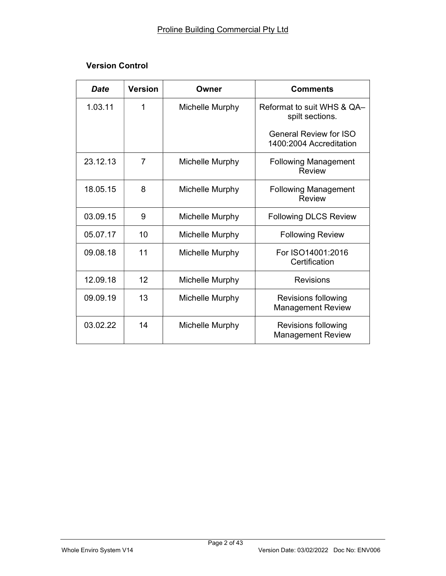| <b>Date</b> | <b>Version</b> | Owner           | <b>Comments</b>                                          |
|-------------|----------------|-----------------|----------------------------------------------------------|
| 1.03.11     | 1              | Michelle Murphy | Reformat to suit WHS & QA-<br>spilt sections.            |
|             |                |                 | <b>General Review for ISO</b><br>1400:2004 Accreditation |
| 23.12.13    | 7              | Michelle Murphy | <b>Following Management</b><br><b>Review</b>             |
| 18.05.15    | 8              | Michelle Murphy | <b>Following Management</b><br><b>Review</b>             |
| 03.09.15    | 9              | Michelle Murphy | <b>Following DLCS Review</b>                             |
| 05.07.17    | 10             | Michelle Murphy | <b>Following Review</b>                                  |
| 09.08.18    | 11             | Michelle Murphy | For ISO14001:2016<br>Certification                       |
| 12.09.18    | 12             | Michelle Murphy | <b>Revisions</b>                                         |
| 09.09.19    | 13             | Michelle Murphy | Revisions following<br><b>Management Review</b>          |
| 03.02.22    | 14             | Michelle Murphy | Revisions following<br><b>Management Review</b>          |

## Version Control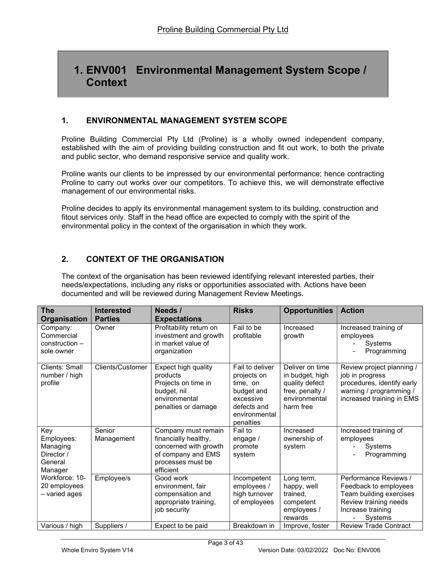# 1. ENV001 Environmental Management System Scope / **Context**

### 1. ENVIRONMENTAL MANAGEMENT SYSTEM SCOPE

Proline Building Commercial Pty Ltd (Proline) is a wholly owned independent company, established with the aim of providing building construction and fit out work, to both the private and public sector, who demand responsive service and quality work.

Proline wants our clients to be impressed by our environmental performance; hence contracting Proline to carry out works over our competitors. To achieve this, we will demonstrate effective management of our environmental risks.

Proline decides to apply its environmental management system to its building, construction and fitout services only. Staff in the head office are expected to comply with the spirit of the environmental policy in the context of the organisation in which they work.

## 2. CONTEXT OF THE ORGANISATION

The context of the organisation has been reviewed identifying relevant interested parties, their needs/expectations, including any risks or opportunities associated with. Actions have been documented and will be reviewed during Management Review Meetings.

| <b>The</b><br><b>Organisation</b>                                 | <b>Interested</b><br><b>Parties</b> | Needs /<br><b>Expectations</b>                                                                                               | <b>Risks</b>                                                                                                       | <b>Opportunities</b>                                                                                  | <b>Action</b>                                                                                                                      |
|-------------------------------------------------------------------|-------------------------------------|------------------------------------------------------------------------------------------------------------------------------|--------------------------------------------------------------------------------------------------------------------|-------------------------------------------------------------------------------------------------------|------------------------------------------------------------------------------------------------------------------------------------|
| Company:<br>Commercial<br>construction -<br>sole owner            | Owner                               | Profitability return on<br>investment and growth<br>in market value of<br>organization                                       | Fail to be<br>profitable                                                                                           | Increased<br>growth                                                                                   | Increased training of<br>employees<br>Systems<br>Programming                                                                       |
| Clients: Small<br>number / high<br>profile                        | <b>Clients/Customer</b>             | Expect high quality<br>products<br>Projects on time in<br>budget, nil<br>environmental<br>penalties or damage                | Fail to deliver<br>projects on<br>time, on<br>budget and<br>excessive<br>defects and<br>environmental<br>penalties | Deliver on time<br>in budget, high<br>quality defect<br>free, penalty /<br>environmental<br>harm free | Review project planning /<br>job in progress<br>procedures, identify early<br>warning / programming /<br>increased training in EMS |
| Key<br>Employees:<br>Managing<br>Director /<br>General<br>Manager | Senior<br>Management                | Company must remain<br>financially healthy,<br>concerned with growth<br>of company and EMS<br>processes must be<br>efficient | Fail to<br>engage /<br>promote<br>system                                                                           | Increased<br>ownership of<br>system                                                                   | Increased training of<br>employees<br>Systems<br>Programming                                                                       |
| Workforce: 10-<br>20 employees<br>- varied ages                   | Employee/s                          | Good work<br>environment, fair<br>compensation and<br>appropriate training,<br>job security                                  | Incompetent<br>employees /<br>high turnover<br>of employees                                                        | Long term,<br>happy, well<br>trained.<br>competent<br>employees /<br>rewards                          | Performance Reviews /<br>Feedback to employees<br>Team building exercises<br>Review training needs<br>Increase training<br>Systems |
| Various / high                                                    | Suppliers /                         | Expect to be paid                                                                                                            | Breakdown in                                                                                                       | Improve, foster                                                                                       | <b>Review Trade Contract</b>                                                                                                       |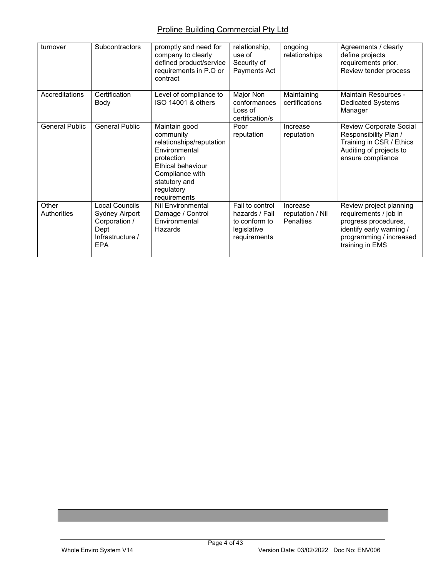| turnover              | Subcontractors                                                                              | promptly and need for<br>company to clearly<br>defined product/service<br>requirements in P.O or<br>contract                                                                 | relationship,<br>use of<br>Security of<br>Payments Act                            | ongoing<br>relationships                         | Agreements / clearly<br>define projects<br>requirements prior.<br>Review tender process                                                            |
|-----------------------|---------------------------------------------------------------------------------------------|------------------------------------------------------------------------------------------------------------------------------------------------------------------------------|-----------------------------------------------------------------------------------|--------------------------------------------------|----------------------------------------------------------------------------------------------------------------------------------------------------|
| Accreditations        | Certification<br>Body                                                                       | Level of compliance to<br>ISO 14001 & others                                                                                                                                 | Major Non<br>conformances<br>Loss of<br>certification/s                           | Maintaining<br>certifications                    | Maintain Resources -<br><b>Dedicated Systems</b><br>Manager                                                                                        |
| <b>General Public</b> | <b>General Public</b>                                                                       | Maintain good<br>community<br>relationships/reputation<br>Environmental<br>protection<br>Ethical behaviour<br>Compliance with<br>statutory and<br>regulatory<br>requirements | Poor<br>reputation                                                                | Increase<br>reputation                           | <b>Review Corporate Social</b><br>Responsibility Plan /<br>Training in CSR / Ethics<br>Auditing of projects to<br>ensure compliance                |
| Other<br>Authorities  | Local Councils<br>Sydney Airport<br>Corporation /<br>Dept<br>Infrastructure /<br><b>EPA</b> | <b>Nil Environmental</b><br>Damage / Control<br>Environmental<br>Hazards                                                                                                     | Fail to control<br>hazards / Fail<br>to conform to<br>legislative<br>requirements | Increase<br>reputation / Nil<br><b>Penalties</b> | Review project planning<br>requirements / job in<br>progress procedures,<br>identify early warning /<br>programming / increased<br>training in EMS |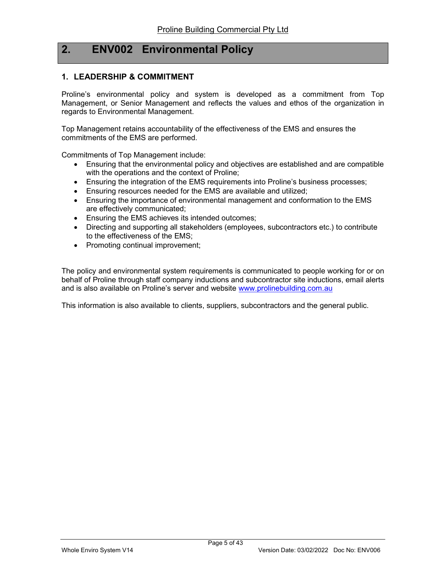## 2. ENV002 Environmental Policy

#### 1. LEADERSHIP & COMMITMENT

Proline's environmental policy and system is developed as a commitment from Top Management, or Senior Management and reflects the values and ethos of the organization in regards to Environmental Management.

Top Management retains accountability of the effectiveness of the EMS and ensures the commitments of the EMS are performed.

Commitments of Top Management include:

- Ensuring that the environmental policy and objectives are established and are compatible with the operations and the context of Proline;
- Ensuring the integration of the EMS requirements into Proline's business processes;
- Ensuring resources needed for the EMS are available and utilized;
- Ensuring the importance of environmental management and conformation to the EMS are effectively communicated;
- **Ensuring the EMS achieves its intended outcomes;**
- Directing and supporting all stakeholders (employees, subcontractors etc.) to contribute to the effectiveness of the EMS;
- Promoting continual improvement;

The policy and environmental system requirements is communicated to people working for or on behalf of Proline through staff company inductions and subcontractor site inductions, email alerts and is also available on Proline's server and website www.prolinebuilding.com.au

This information is also available to clients, suppliers, subcontractors and the general public.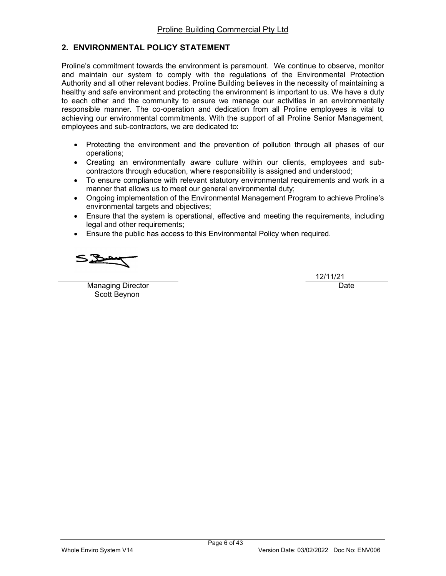### 2. ENVIRONMENTAL POLICY STATEMENT

Proline's commitment towards the environment is paramount. We continue to observe, monitor and maintain our system to comply with the regulations of the Environmental Protection Authority and all other relevant bodies. Proline Building believes in the necessity of maintaining a healthy and safe environment and protecting the environment is important to us. We have a duty to each other and the community to ensure we manage our activities in an environmentally responsible manner. The co-operation and dedication from all Proline employees is vital to achieving our environmental commitments. With the support of all Proline Senior Management, employees and sub-contractors, we are dedicated to:

- Protecting the environment and the prevention of pollution through all phases of our operations;
- Creating an environmentally aware culture within our clients, employees and subcontractors through education, where responsibility is assigned and understood;
- To ensure compliance with relevant statutory environmental requirements and work in a manner that allows us to meet our general environmental duty;
- Ongoing implementation of the Environmental Management Program to achieve Proline's environmental targets and objectives;
- Ensure that the system is operational, effective and meeting the requirements, including legal and other requirements;
- Ensure the public has access to this Environmental Policy when required.

Managing Director **Date** Scott Beynon

12/11/21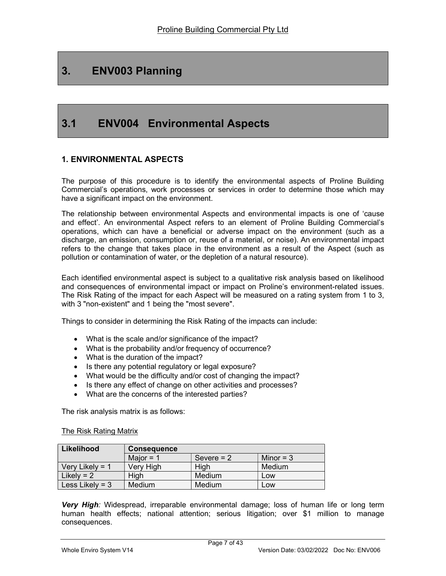# 3. ENV003 Planning

# 3.1 ENV004 Environmental Aspects

### 1. ENVIRONMENTAL ASPECTS

The purpose of this procedure is to identify the environmental aspects of Proline Building Commercial's operations, work processes or services in order to determine those which may have a significant impact on the environment.

The relationship between environmental Aspects and environmental impacts is one of 'cause and effect'. An environmental Aspect refers to an element of Proline Building Commercial's operations, which can have a beneficial or adverse impact on the environment (such as a discharge, an emission, consumption or, reuse of a material, or noise). An environmental impact refers to the change that takes place in the environment as a result of the Aspect (such as pollution or contamination of water, or the depletion of a natural resource).

Each identified environmental aspect is subject to a qualitative risk analysis based on likelihood and consequences of environmental impact or impact on Proline's environment-related issues. The Risk Rating of the impact for each Aspect will be measured on a rating system from 1 to 3, with 3 "non-existent" and 1 being the "most severe".

Things to consider in determining the Risk Rating of the impacts can include:

- What is the scale and/or significance of the impact?
- What is the probability and/or frequency of occurrence?
- What is the duration of the impact?
- Is there any potential regulatory or legal exposure?
- What would be the difficulty and/or cost of changing the impact?
- Is there any effect of change on other activities and processes?
- What are the concerns of the interested parties?

The risk analysis matrix is as follows:

#### The Risk Rating Matrix

| Likelihood        | <b>Consequence</b> |              |             |
|-------------------|--------------------|--------------|-------------|
|                   | Major = $1$        | Severe $= 2$ | Minor = $3$ |
| Very Likely = $1$ | Very High          | High         | Medium      |
| Likely = $2$      | High               | Medium       | Low         |
| Less Likely = $3$ | Medium             | Medium       | Low         |

Very High: Widespread, irreparable environmental damage; loss of human life or long term human health effects; national attention; serious litigation; over \$1 million to manage consequences.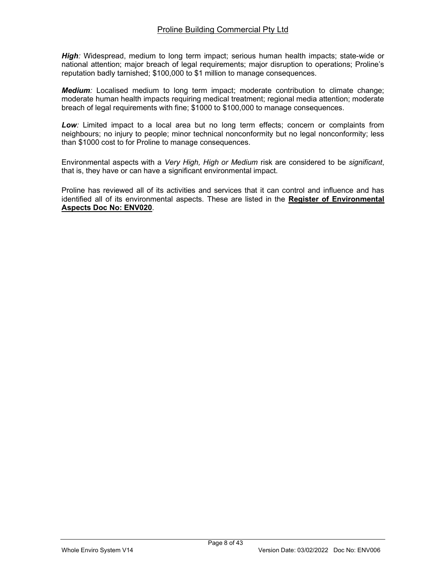High: Widespread, medium to long term impact; serious human health impacts; state-wide or national attention; major breach of legal requirements; major disruption to operations; Proline's reputation badly tarnished; \$100,000 to \$1 million to manage consequences.

**Medium**: Localised medium to long term impact; moderate contribution to climate change; moderate human health impacts requiring medical treatment; regional media attention; moderate breach of legal requirements with fine; \$1000 to \$100,000 to manage consequences.

Low: Limited impact to a local area but no long term effects; concern or complaints from neighbours; no injury to people; minor technical nonconformity but no legal nonconformity; less than \$1000 cost to for Proline to manage consequences.

Environmental aspects with a Very High, High or Medium risk are considered to be significant, that is, they have or can have a significant environmental impact.

Proline has reviewed all of its activities and services that it can control and influence and has identified all of its environmental aspects. These are listed in the Register of Environmental Aspects Doc No: ENV020.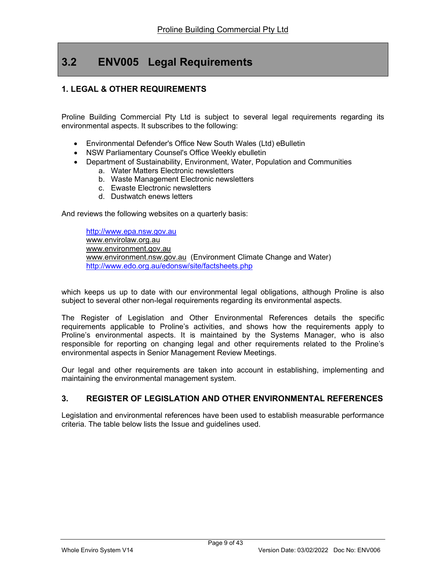# 3.2 ENV005 Legal Requirements

### 1. LEGAL & OTHER REQUIREMENTS

Proline Building Commercial Pty Ltd is subject to several legal requirements regarding its environmental aspects. It subscribes to the following:

- Environmental Defender's Office New South Wales (Ltd) eBulletin
- NSW Parliamentary Counsel's Office Weekly ebulletin
- Department of Sustainability, Environment, Water, Population and Communities
	- a. Water Matters Electronic newsletters
	- b. Waste Management Electronic newsletters
	- c. Ewaste Electronic newsletters
	- d. Dustwatch enews letters

And reviews the following websites on a quarterly basis:

http://www.epa.nsw.gov.au www.envirolaw.org.au www.environment.gov.au www.environment.nsw.gov.au (Environment Climate Change and Water) http://www.edo.org.au/edonsw/site/factsheets.php

which keeps us up to date with our environmental legal obligations, although Proline is also subject to several other non-legal requirements regarding its environmental aspects.

The Register of Legislation and Other Environmental References details the specific requirements applicable to Proline's activities, and shows how the requirements apply to Proline's environmental aspects. It is maintained by the Systems Manager, who is also responsible for reporting on changing legal and other requirements related to the Proline's environmental aspects in Senior Management Review Meetings.

Our legal and other requirements are taken into account in establishing, implementing and maintaining the environmental management system.

### 3. REGISTER OF LEGISLATION AND OTHER ENVIRONMENTAL REFERENCES

Legislation and environmental references have been used to establish measurable performance criteria. The table below lists the Issue and guidelines used.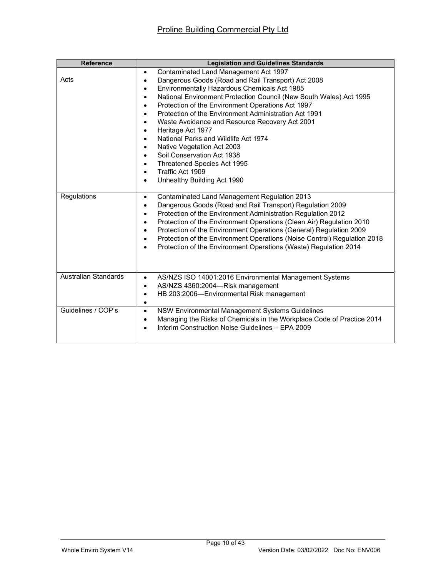| <b>Reference</b>            | <b>Legislation and Guidelines Standards</b>                                     |
|-----------------------------|---------------------------------------------------------------------------------|
|                             | Contaminated Land Management Act 1997<br>$\bullet$                              |
| Acts                        | Dangerous Goods (Road and Rail Transport) Act 2008<br>$\bullet$                 |
|                             | Environmentally Hazardous Chemicals Act 1985<br>٠                               |
|                             | National Environment Protection Council (New South Wales) Act 1995<br>٠         |
|                             | Protection of the Environment Operations Act 1997<br>$\bullet$                  |
|                             | Protection of the Environment Administration Act 1991<br>٠                      |
|                             | Waste Avoidance and Resource Recovery Act 2001                                  |
|                             | Heritage Act 1977                                                               |
|                             | National Parks and Wildlife Act 1974<br>$\bullet$                               |
|                             | Native Vegetation Act 2003<br>$\bullet$                                         |
|                             | Soil Conservation Act 1938<br>$\bullet$                                         |
|                             | Threatened Species Act 1995                                                     |
|                             | Traffic Act 1909                                                                |
|                             | Unhealthy Building Act 1990<br>$\bullet$                                        |
| Regulations                 | Contaminated Land Management Regulation 2013<br>$\bullet$                       |
|                             | Dangerous Goods (Road and Rail Transport) Regulation 2009<br>٠                  |
|                             | Protection of the Environment Administration Regulation 2012<br>٠               |
|                             | Protection of the Environment Operations (Clean Air) Regulation 2010<br>٠       |
|                             | Protection of the Environment Operations (General) Regulation 2009<br>$\bullet$ |
|                             | Protection of the Environment Operations (Noise Control) Regulation 2018<br>٠   |
|                             | Protection of the Environment Operations (Waste) Regulation 2014                |
|                             |                                                                                 |
| <b>Australian Standards</b> |                                                                                 |
|                             | AS/NZS ISO 14001:2016 Environmental Management Systems<br>$\bullet$             |
|                             | AS/NZS 4360:2004-Risk management<br>٠                                           |
|                             | HB 203:2006-Environmental Risk management<br>٠<br>٠                             |
| Guidelines / COP's          | NSW Environmental Management Systems Guidelines<br>$\bullet$                    |
|                             | Managing the Risks of Chemicals in the Workplace Code of Practice 2014          |
|                             | Interim Construction Noise Guidelines - EPA 2009                                |
|                             |                                                                                 |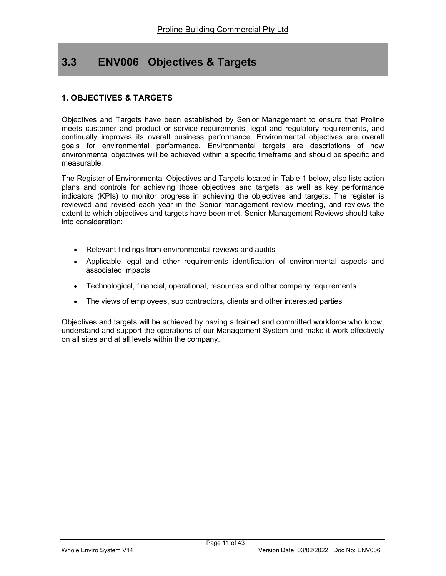# 3.3 ENV006 Objectives & Targets

## 1. OBJECTIVES & TARGETS

Objectives and Targets have been established by Senior Management to ensure that Proline meets customer and product or service requirements, legal and regulatory requirements, and continually improves its overall business performance. Environmental objectives are overall goals for environmental performance. Environmental targets are descriptions of how environmental objectives will be achieved within a specific timeframe and should be specific and measurable.

The Register of Environmental Objectives and Targets located in Table 1 below, also lists action plans and controls for achieving those objectives and targets, as well as key performance indicators (KPIs) to monitor progress in achieving the objectives and targets. The register is reviewed and revised each year in the Senior management review meeting, and reviews the extent to which objectives and targets have been met. Senior Management Reviews should take into consideration:

- Relevant findings from environmental reviews and audits
- Applicable legal and other requirements identification of environmental aspects and associated impacts;
- Technological, financial, operational, resources and other company requirements
- The views of employees, sub contractors, clients and other interested parties

Objectives and targets will be achieved by having a trained and committed workforce who know, understand and support the operations of our Management System and make it work effectively on all sites and at all levels within the company.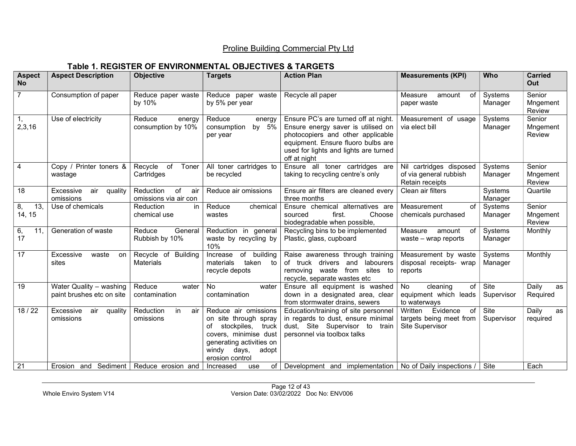## Table 1. REGISTER OF ENVIRONMENTAL OBJECTIVES & TARGETS

| <b>Aspect</b><br><b>No</b>      | <b>Aspect Description</b>                            | Objective                                       | <b>Targets</b>                                                                                                                                                              | <b>Action Plan</b>                                                                                                                                                                                             | <b>Measurements (KPI)</b>                                               | Who                       | <b>Carried</b><br>Out        |
|---------------------------------|------------------------------------------------------|-------------------------------------------------|-----------------------------------------------------------------------------------------------------------------------------------------------------------------------------|----------------------------------------------------------------------------------------------------------------------------------------------------------------------------------------------------------------|-------------------------------------------------------------------------|---------------------------|------------------------------|
| $\overline{7}$                  | Consumption of paper                                 | Reduce paper waste<br>by 10%                    | Reduce paper waste<br>by 5% per year                                                                                                                                        | Recycle all paper                                                                                                                                                                                              | Measure<br>of<br>amount<br>paper waste                                  | Systems<br>Manager        | Senior<br>Mngement<br>Review |
| 1,<br>2,3,16                    | Use of electricity                                   | Reduce<br>energy<br>consumption by 10%          | Reduce<br>energy<br>by 5%<br>consumption<br>per year                                                                                                                        | Ensure PC's are turned off at night.<br>Ensure energy saver is utilised on<br>photocopiers and other applicable<br>equipment. Ensure fluoro bulbs are<br>used for lights and lights are turned<br>off at night | Measurement of usage<br>via elect bill                                  | Systems<br>Manager        | Senior<br>Mngement<br>Review |
| 4                               | Copy / Printer toners &<br>wastage                   | Recycle<br>of<br>Toner<br>Cartridges            | All toner cartridges to<br>be recycled                                                                                                                                      | Ensure all toner cartridges are<br>taking to recycling centre's only                                                                                                                                           | Nil cartridges disposed<br>of via general rubbish<br>Retain receipts    | Systems<br>Manager        | Senior<br>Mngement<br>Review |
| 18                              | Excessive<br>air<br>quality<br>omissions             | Reduction<br>of<br>air<br>omissions via air con | Reduce air omissions                                                                                                                                                        | Ensure air filters are cleaned every<br>three months                                                                                                                                                           | Clean air filters                                                       | Systems<br>Manager        | Quartile                     |
| $\overline{13}$<br>8,<br>14, 15 | Use of chemicals                                     | Reduction<br>in.<br>chemical use                | Reduce<br>chemical<br>wastes                                                                                                                                                | Ensure chemical alternatives are<br>sourced<br>first.<br>Choose<br>biodegradable when possible,                                                                                                                | Measurement<br>of<br>chemicals purchased                                | Systems<br>Manager        | Senior<br>Mngement<br>Review |
| 6,<br>11,<br>17                 | Generation of waste                                  | Reduce<br>General<br>Rubbish by 10%             | Reduction in general<br>waste by recycling by<br>10%                                                                                                                        | Recycling bins to be implemented<br>Plastic, glass, cupboard                                                                                                                                                   | Measure<br>of<br>amount<br>waste $-$ wrap reports                       | Systems<br>Manager        | Monthly                      |
| 17                              | Excessive<br>waste<br>on<br>sites                    | Recycle of Building<br><b>Materials</b>         | of building<br>Increase<br>materials<br>taken to<br>recycle depots                                                                                                          | Raise awareness through training<br>of truck drivers and labourers<br>removing waste from sites to<br>recycle, separate wastes etc                                                                             | Measurement by waste<br>disposal receipts- wrap<br>reports              | <b>Systems</b><br>Manager | Monthly                      |
| 19                              | Water Quality - washing<br>paint brushes etc on site | Reduce<br>water<br>contamination                | No<br>water<br>contamination                                                                                                                                                | Ensure all equipment is washed<br>down in a designated area, clear<br>from stormwater drains, sewers                                                                                                           | of<br>No<br>cleaning<br>equipment which leads<br>to waterways           | Site<br>Supervisor        | Daily<br>as<br>Required      |
| 18/22                           | Excessive<br>air<br>quality<br>omissions             | Reduction<br>in.<br>air<br>omissions            | Reduce air omissions<br>on site through spray<br>of<br>stockpiles,<br>truck<br>covers, minimise dust<br>generating activities on<br>windy days,<br>adopt<br>erosion control | Education/training of site personnel<br>in regards to dust, ensure minimal<br>dust, Site Supervisor to train<br>personnel via toolbox talks                                                                    | Evidence<br>of<br>Written<br>targets being meet from<br>Site Supervisor | Site<br>Supervisor        | Daily<br>as<br>required      |
| 21                              | Erosion and Sediment                                 | Reduce erosion and                              | of<br>Increased<br>use                                                                                                                                                      | Development and implementation   No of Daily inspections /                                                                                                                                                     |                                                                         | Site                      | Each                         |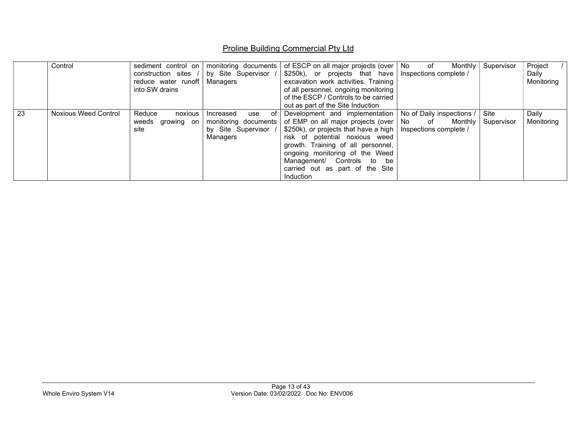|    | Control              | sediment control on<br>construction sites /<br>reduce water runoff<br>into SW drains | monitoring documents  <br>by Site Supervisor<br>Managers                           | of ESCP on all major projects (over   No   of<br>$$250k$ , or projects that have<br>excavation work activities. Training<br>of all personnel, ongoing monitoring<br>of the ESCP / Controls to be carried<br>out as part of the Site Induction                                                                                                                                                   | Monthly<br>Inspections complete / | Supervisor         | Project<br>Daily<br>Monitoring |
|----|----------------------|--------------------------------------------------------------------------------------|------------------------------------------------------------------------------------|-------------------------------------------------------------------------------------------------------------------------------------------------------------------------------------------------------------------------------------------------------------------------------------------------------------------------------------------------------------------------------------------------|-----------------------------------|--------------------|--------------------------------|
| 23 | Noxious Weed Control | Reduce<br>noxious<br>weeds growing on<br>site                                        | of<br>use<br>Increased<br>monitoring documents<br>by Site Supervisor /<br>Managers | Development and implementation   No of Daily inspections /<br>of EMP on all major projects (over   No of Monthly<br>$\frac{1}{2}$ \$250k), or projects that have a high   Inspections complete /<br>risk of potential noxious weed<br>growth. Training of all personnel,<br>ongoing monitoring of the Weed<br>Management/ Controls to be<br>carried out as part of the Site<br><b>Induction</b> |                                   | Site<br>Supervisor | Daily<br>Monitoring            |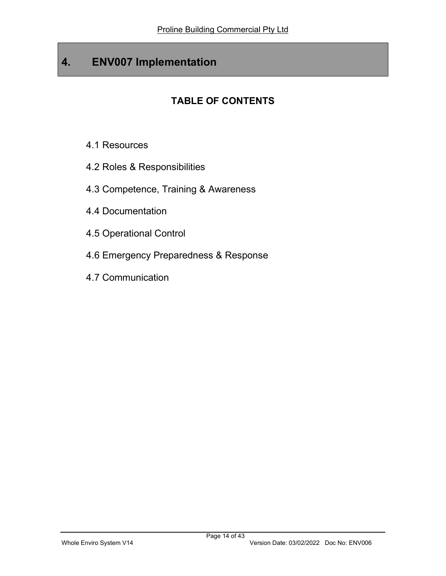# 4. ENV007 Implementation

# TABLE OF CONTENTS

- 4.1 Resources
- 4.2 Roles & Responsibilities
- 4.3 Competence, Training & Awareness
- 4.4 Documentation
- 4.5 Operational Control
- 4.6 Emergency Preparedness & Response
- 4.7 Communication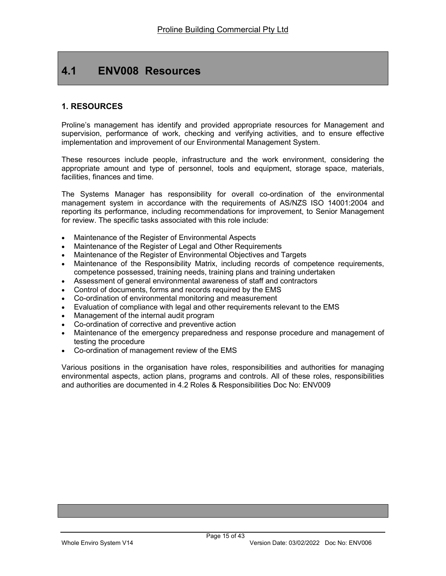# 4.1 ENV008 Resources

### 1. RESOURCES

Proline's management has identify and provided appropriate resources for Management and supervision, performance of work, checking and verifying activities, and to ensure effective implementation and improvement of our Environmental Management System.

These resources include people, infrastructure and the work environment, considering the appropriate amount and type of personnel, tools and equipment, storage space, materials, facilities, finances and time.

The Systems Manager has responsibility for overall co-ordination of the environmental management system in accordance with the requirements of AS/NZS ISO 14001:2004 and reporting its performance, including recommendations for improvement, to Senior Management for review. The specific tasks associated with this role include:

- Maintenance of the Register of Environmental Aspects
- Maintenance of the Register of Legal and Other Requirements
- Maintenance of the Register of Environmental Objectives and Targets
- Maintenance of the Responsibility Matrix, including records of competence requirements, competence possessed, training needs, training plans and training undertaken
- Assessment of general environmental awareness of staff and contractors
- Control of documents, forms and records required by the EMS
- Co-ordination of environmental monitoring and measurement
- Evaluation of compliance with legal and other requirements relevant to the EMS
- Management of the internal audit program
- Co-ordination of corrective and preventive action
- Maintenance of the emergency preparedness and response procedure and management of testing the procedure
- Co-ordination of management review of the EMS

Various positions in the organisation have roles, responsibilities and authorities for managing environmental aspects, action plans, programs and controls. All of these roles, responsibilities and authorities are documented in 4.2 Roles & Responsibilities Doc No: ENV009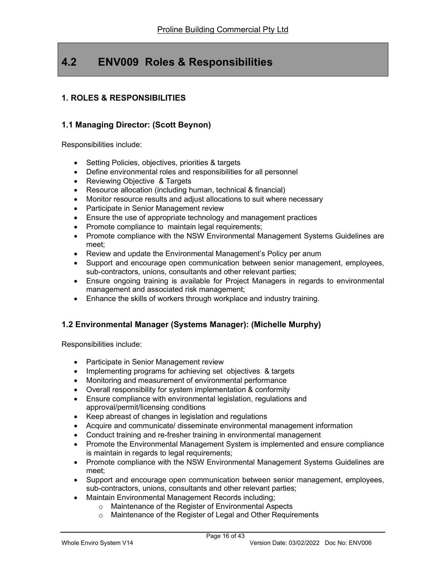# 4.2 ENV009 Roles & Responsibilities

## 1. ROLES & RESPONSIBILITIES

### 1.1 Managing Director: (Scott Beynon)

Responsibilities include:

- Setting Policies, objectives, priorities & targets
- Define environmental roles and responsibilities for all personnel
- Reviewing Objective & Targets
- Resource allocation (including human, technical & financial)
- Monitor resource results and adjust allocations to suit where necessary
- Participate in Senior Management review
- Ensure the use of appropriate technology and management practices
- Promote compliance to maintain legal requirements;
- Promote compliance with the NSW Environmental Management Systems Guidelines are meet;
- Review and update the Environmental Management's Policy per anum
- Support and encourage open communication between senior management, employees, sub-contractors, unions, consultants and other relevant parties;
- Ensure ongoing training is available for Project Managers in regards to environmental management and associated risk management;
- Enhance the skills of workers through workplace and industry training.

### 1.2 Environmental Manager (Systems Manager): (Michelle Murphy)

Responsibilities include:

- Participate in Senior Management review
- Implementing programs for achieving set objectives & targets
- Monitoring and measurement of environmental performance
- Overall responsibility for system implementation & conformity
- Ensure compliance with environmental legislation, regulations and approval/permit/licensing conditions
- Keep abreast of changes in legislation and regulations
- Acquire and communicate/ disseminate environmental management information
- Conduct training and re-fresher training in environmental management
- Promote the Environmental Management System is implemented and ensure compliance is maintain in regards to legal requirements;
- Promote compliance with the NSW Environmental Management Systems Guidelines are meet;
- Support and encourage open communication between senior management, employees, sub-contractors, unions, consultants and other relevant parties;
- Maintain Environmental Management Records including;
	- o Maintenance of the Register of Environmental Aspects
	- o Maintenance of the Register of Legal and Other Requirements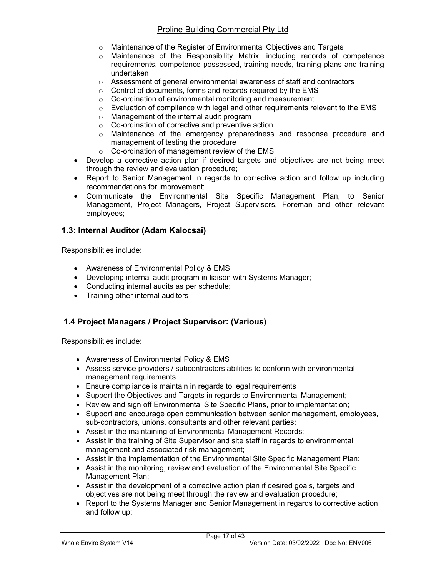- o Maintenance of the Register of Environmental Objectives and Targets
- o Maintenance of the Responsibility Matrix, including records of competence requirements, competence possessed, training needs, training plans and training undertaken
- $\circ$  Assessment of general environmental awareness of staff and contractors
- o Control of documents, forms and records required by the EMS
- o Co-ordination of environmental monitoring and measurement
- o Evaluation of compliance with legal and other requirements relevant to the EMS
- o Management of the internal audit program
- o Co-ordination of corrective and preventive action
- o Maintenance of the emergency preparedness and response procedure and management of testing the procedure
- o Co-ordination of management review of the EMS
- Develop a corrective action plan if desired targets and objectives are not being meet through the review and evaluation procedure;
- Report to Senior Management in regards to corrective action and follow up including recommendations for improvement;
- Communicate the Environmental Site Specific Management Plan, to Senior Management, Project Managers, Project Supervisors, Foreman and other relevant employees;

### 1.3: Internal Auditor (Adam Kalocsai)

Responsibilities include:

- Awareness of Environmental Policy & EMS
- Developing internal audit program in liaison with Systems Manager;
- Conducting internal audits as per schedule;
- Training other internal auditors

### 1.4 Project Managers / Project Supervisor: (Various)

Responsibilities include:

- Awareness of Environmental Policy & EMS
- Assess service providers / subcontractors abilities to conform with environmental management requirements
- Ensure compliance is maintain in regards to legal requirements
- Support the Objectives and Targets in regards to Environmental Management;
- Review and sign off Environmental Site Specific Plans, prior to implementation;
- Support and encourage open communication between senior management, employees, sub-contractors, unions, consultants and other relevant parties;
- Assist in the maintaining of Environmental Management Records;
- Assist in the training of Site Supervisor and site staff in regards to environmental management and associated risk management;
- Assist in the implementation of the Environmental Site Specific Management Plan;
- Assist in the monitoring, review and evaluation of the Environmental Site Specific Management Plan;
- Assist in the development of a corrective action plan if desired goals, targets and objectives are not being meet through the review and evaluation procedure;
- Report to the Systems Manager and Senior Management in regards to corrective action and follow up;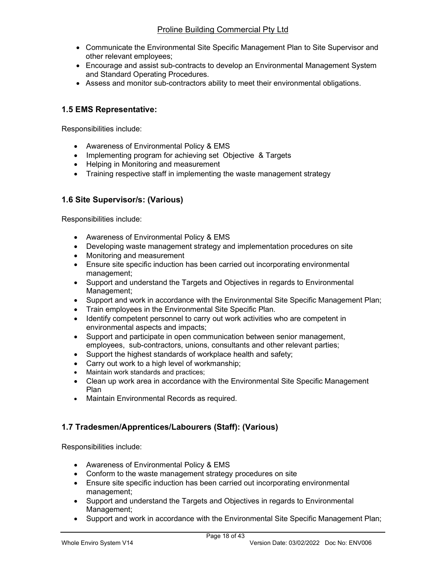- Communicate the Environmental Site Specific Management Plan to Site Supervisor and other relevant employees;
- Encourage and assist sub-contracts to develop an Environmental Management System and Standard Operating Procedures.
- Assess and monitor sub-contractors ability to meet their environmental obligations.

### 1.5 EMS Representative:

Responsibilities include:

- Awareness of Environmental Policy & EMS
- Implementing program for achieving set Objective & Targets
- Helping in Monitoring and measurement
- Training respective staff in implementing the waste management strategy

### 1.6 Site Supervisor/s: (Various)

Responsibilities include:

- Awareness of Environmental Policy & EMS
- Developing waste management strategy and implementation procedures on site
- Monitoring and measurement
- Ensure site specific induction has been carried out incorporating environmental management;
- Support and understand the Targets and Objectives in regards to Environmental Management;
- Support and work in accordance with the Environmental Site Specific Management Plan;
- Train employees in the Environmental Site Specific Plan.
- Identify competent personnel to carry out work activities who are competent in environmental aspects and impacts;
- Support and participate in open communication between senior management, employees, sub-contractors, unions, consultants and other relevant parties;
- Support the highest standards of workplace health and safety;
- Carry out work to a high level of workmanship;
- Maintain work standards and practices;
- Clean up work area in accordance with the Environmental Site Specific Management Plan
- Maintain Environmental Records as required.

### 1.7 Tradesmen/Apprentices/Labourers (Staff): (Various)

Responsibilities include:

- Awareness of Environmental Policy & EMS
- Conform to the waste management strategy procedures on site
- Ensure site specific induction has been carried out incorporating environmental management;
- Support and understand the Targets and Objectives in regards to Environmental Management;
- Support and work in accordance with the Environmental Site Specific Management Plan;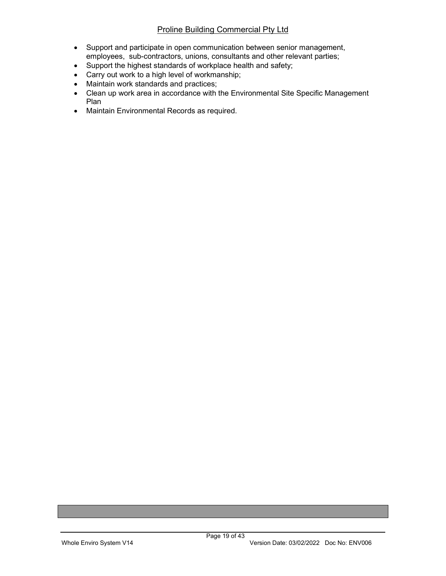- Support and participate in open communication between senior management, employees, sub-contractors, unions, consultants and other relevant parties;
- Support the highest standards of workplace health and safety;
- Carry out work to a high level of workmanship;
- Maintain work standards and practices;
- Clean up work area in accordance with the Environmental Site Specific Management Plan
- Maintain Environmental Records as required.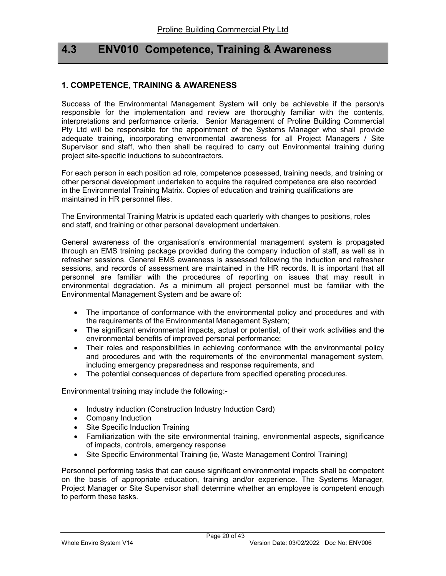## 4.3 ENV010 Competence, Training & Awareness

### 1. COMPETENCE, TRAINING & AWARENESS

Success of the Environmental Management System will only be achievable if the person/s responsible for the implementation and review are thoroughly familiar with the contents, interpretations and performance criteria. Senior Management of Proline Building Commercial Pty Ltd will be responsible for the appointment of the Systems Manager who shall provide adequate training, incorporating environmental awareness for all Project Managers / Site Supervisor and staff, who then shall be required to carry out Environmental training during project site-specific inductions to subcontractors.

For each person in each position ad role, competence possessed, training needs, and training or other personal development undertaken to acquire the required competence are also recorded in the Environmental Training Matrix. Copies of education and training qualifications are maintained in HR personnel files.

The Environmental Training Matrix is updated each quarterly with changes to positions, roles and staff, and training or other personal development undertaken.

General awareness of the organisation's environmental management system is propagated through an EMS training package provided during the company induction of staff, as well as in refresher sessions. General EMS awareness is assessed following the induction and refresher sessions, and records of assessment are maintained in the HR records. It is important that all personnel are familiar with the procedures of reporting on issues that may result in environmental degradation. As a minimum all project personnel must be familiar with the Environmental Management System and be aware of:

- The importance of conformance with the environmental policy and procedures and with the requirements of the Environmental Management System;
- The significant environmental impacts, actual or potential, of their work activities and the environmental benefits of improved personal performance;
- Their roles and responsibilities in achieving conformance with the environmental policy and procedures and with the requirements of the environmental management system, including emergency preparedness and response requirements, and
- The potential consequences of departure from specified operating procedures.

Environmental training may include the following:-

- Industry induction (Construction Industry Induction Card)
- Company Induction
- Site Specific Induction Training
- Familiarization with the site environmental training, environmental aspects, significance of impacts, controls, emergency response
- Site Specific Environmental Training (ie, Waste Management Control Training)

Personnel performing tasks that can cause significant environmental impacts shall be competent on the basis of appropriate education, training and/or experience. The Systems Manager, Project Manager or Site Supervisor shall determine whether an employee is competent enough to perform these tasks.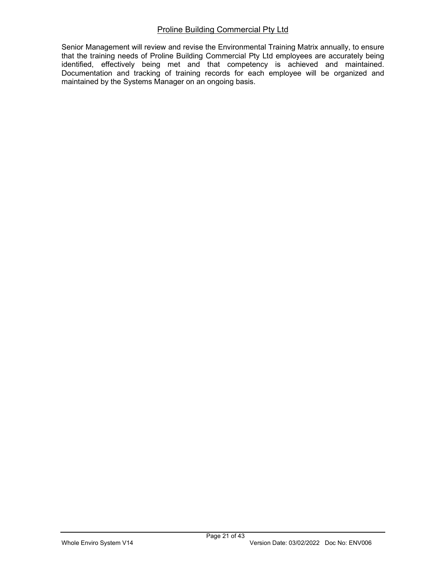Senior Management will review and revise the Environmental Training Matrix annually, to ensure that the training needs of Proline Building Commercial Pty Ltd employees are accurately being identified, effectively being met and that competency is achieved and maintained. Documentation and tracking of training records for each employee will be organized and maintained by the Systems Manager on an ongoing basis.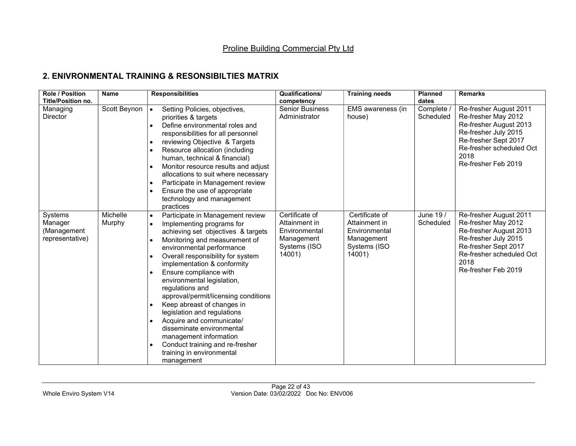## 2. ENIVRONMENTAL TRAINING & RESONSIBILTIES MATRIX

| <b>Role / Position</b><br><b>Title/Position no.</b>  | <b>Name</b>        | <b>Responsibilities</b>                                                                                                                                                                                                                                                                                                                                                                                                                                                                                                                                                                                                                                                                        | Qualifications/<br>competency                                                            | <b>Training needs</b>                                                                    | <b>Planned</b><br>dates | <b>Remarks</b>                                                                                                                                                                     |
|------------------------------------------------------|--------------------|------------------------------------------------------------------------------------------------------------------------------------------------------------------------------------------------------------------------------------------------------------------------------------------------------------------------------------------------------------------------------------------------------------------------------------------------------------------------------------------------------------------------------------------------------------------------------------------------------------------------------------------------------------------------------------------------|------------------------------------------------------------------------------------------|------------------------------------------------------------------------------------------|-------------------------|------------------------------------------------------------------------------------------------------------------------------------------------------------------------------------|
| Managing<br><b>Director</b>                          | Scott Beynon       | Setting Policies, objectives,<br>priorities & targets<br>Define environmental roles and<br>responsibilities for all personnel<br>reviewing Objective & Targets<br>٠<br>Resource allocation (including<br>$\bullet$<br>human, technical & financial)<br>Monitor resource results and adjust<br>allocations to suit where necessary<br>Participate in Management review<br>$\bullet$<br>Ensure the use of appropriate<br>technology and management<br>practices                                                                                                                                                                                                                                  | <b>Senior Business</b><br>Administrator                                                  | EMS awareness (in<br>house)                                                              | Complete /<br>Scheduled | Re-fresher August 2011<br>Re-fresher May 2012<br>Re-fresher August 2013<br>Re-fresher July 2015<br>Re-fresher Sept 2017<br>Re-fresher scheduled Oct<br>2018<br>Re-fresher Feb 2019 |
| Systems<br>Manager<br>(Management<br>representative) | Michelle<br>Murphy | Participate in Management review<br>$\bullet$<br>Implementing programs for<br>$\bullet$<br>achieving set objectives & targets<br>Monitoring and measurement of<br>$\bullet$<br>environmental performance<br>Overall responsibility for system<br>$\bullet$<br>implementation & conformity<br>Ensure compliance with<br>$\bullet$<br>environmental legislation,<br>regulations and<br>approval/permit/licensing conditions<br>Keep abreast of changes in<br>$\bullet$<br>legislation and regulations<br>Acquire and communicate/<br>$\bullet$<br>disseminate environmental<br>management information<br>Conduct training and re-fresher<br>$\bullet$<br>training in environmental<br>management | Certificate of<br>Attainment in<br>Environmental<br>Management<br>Systems (ISO<br>14001) | Certificate of<br>Attainment in<br>Environmental<br>Management<br>Systems (ISO<br>14001) | June 19 /<br>Scheduled  | Re-fresher August 2011<br>Re-fresher May 2012<br>Re-fresher August 2013<br>Re-fresher July 2015<br>Re-fresher Sept 2017<br>Re-fresher scheduled Oct<br>2018<br>Re-fresher Feb 2019 |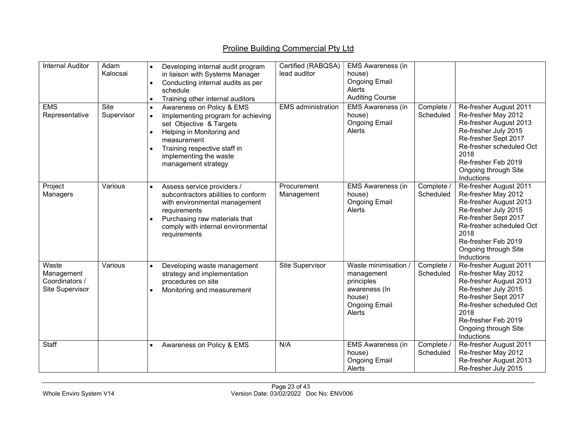| <b>Internal Auditor</b>                                  | Adam<br>Kalocsai   | Developing internal audit program<br>$\bullet$<br>in liaison with Systems Manager<br>Conducting internal audits as per<br>$\bullet$<br>schedule<br>Training other internal auditors<br>$\bullet$                                                                            | Certified (RABQSA)<br>lead auditor | <b>EMS Awareness (in</b><br>house)<br><b>Ongoing Email</b><br>Alerts<br><b>Auditing Course</b>                |                         |                                                                                                                                                                                                                          |
|----------------------------------------------------------|--------------------|-----------------------------------------------------------------------------------------------------------------------------------------------------------------------------------------------------------------------------------------------------------------------------|------------------------------------|---------------------------------------------------------------------------------------------------------------|-------------------------|--------------------------------------------------------------------------------------------------------------------------------------------------------------------------------------------------------------------------|
| <b>EMS</b><br>Representative                             | Site<br>Supervisor | Awareness on Policy & EMS<br>$\bullet$<br>Implementing program for achieving<br>$\bullet$<br>set Objective & Targets<br>Helping in Monitoring and<br>$\bullet$<br>measurement<br>Training respective staff in<br>$\bullet$<br>implementing the waste<br>management strategy | <b>EMS</b> administration          | <b>EMS Awareness (in</b><br>house)<br><b>Ongoing Email</b><br>Alerts                                          | Complete /<br>Scheduled | Re-fresher August 2011<br>Re-fresher May 2012<br>Re-fresher August 2013<br>Re-fresher July 2015<br>Re-fresher Sept 2017<br>Re-fresher scheduled Oct<br>2018<br>Re-fresher Feb 2019<br>Ongoing through Site<br>Inductions |
| Project<br>Managers                                      | Various            | Assess service providers /<br>$\bullet$<br>subcontractors abilities to conform<br>with environmental management<br>requirements<br>Purchasing raw materials that<br>$\bullet$<br>comply with internal environmental<br>requirements                                         | Procurement<br>Management          | <b>EMS Awareness (in</b><br>house)<br><b>Ongoing Email</b><br>Alerts                                          | Complete /<br>Scheduled | Re-fresher August 2011<br>Re-fresher May 2012<br>Re-fresher August 2013<br>Re-fresher July 2015<br>Re-fresher Sept 2017<br>Re-fresher scheduled Oct<br>2018<br>Re-fresher Feb 2019<br>Ongoing through Site<br>Inductions |
| Waste<br>Management<br>Coordinators /<br>Site Supervisor | Various            | Developing waste management<br>$\bullet$<br>strategy and implementation<br>procedures on site<br>Monitoring and measurement<br>$\bullet$                                                                                                                                    | Site Supervisor                    | Waste minimisation /<br>management<br>principles<br>awareness (In<br>house)<br><b>Ongoing Email</b><br>Alerts | Complete /<br>Scheduled | Re-fresher August 2011<br>Re-fresher May 2012<br>Re-fresher August 2013<br>Re-fresher July 2015<br>Re-fresher Sept 2017<br>Re-fresher scheduled Oct<br>2018<br>Re-fresher Feb 2019<br>Ongoing through Site<br>Inductions |
| Staff                                                    |                    | Awareness on Policy & EMS<br>$\bullet$                                                                                                                                                                                                                                      | N/A                                | <b>EMS Awareness (in</b><br>house)<br><b>Ongoing Email</b><br>Alerts                                          | Complete /<br>Scheduled | Re-fresher August 2011<br>Re-fresher May 2012<br>Re-fresher August 2013<br>Re-fresher July 2015                                                                                                                          |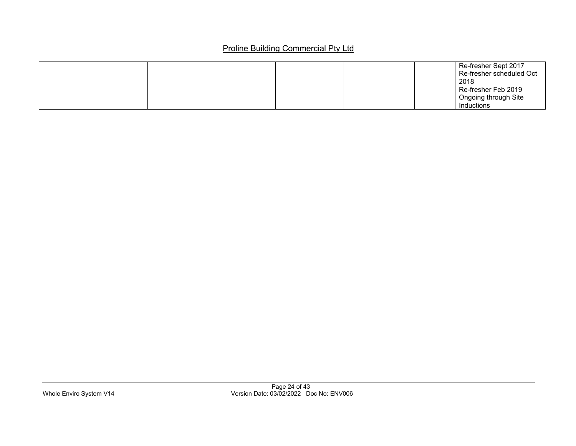|  |  | Re-fresher Sept 2017     |
|--|--|--------------------------|
|  |  | Re-fresher scheduled Oct |
|  |  | 2018                     |
|  |  | Re-fresher Feb 2019      |
|  |  | Ongoing through Site     |
|  |  | Inductions               |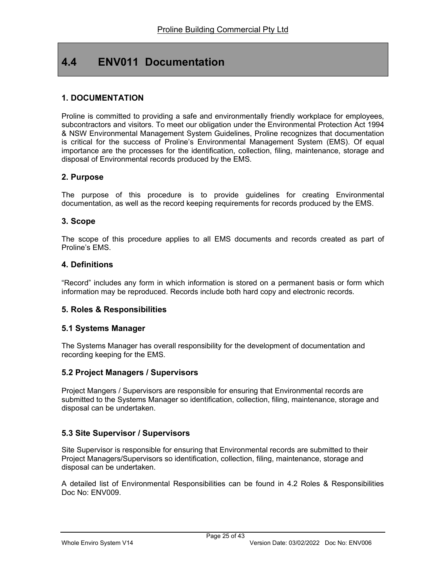# 4.4 ENV011 Documentation

### 1. DOCUMENTATION

Proline is committed to providing a safe and environmentally friendly workplace for employees, subcontractors and visitors. To meet our obligation under the Environmental Protection Act 1994 & NSW Environmental Management System Guidelines, Proline recognizes that documentation is critical for the success of Proline's Environmental Management System (EMS). Of equal importance are the processes for the identification, collection, filing, maintenance, storage and disposal of Environmental records produced by the EMS.

#### 2. Purpose

The purpose of this procedure is to provide guidelines for creating Environmental documentation, as well as the record keeping requirements for records produced by the EMS.

#### 3. Scope

The scope of this procedure applies to all EMS documents and records created as part of Proline's EMS.

#### 4. Definitions

"Record" includes any form in which information is stored on a permanent basis or form which information may be reproduced. Records include both hard copy and electronic records.

#### 5. Roles & Responsibilities

#### 5.1 Systems Manager

The Systems Manager has overall responsibility for the development of documentation and recording keeping for the EMS.

#### 5.2 Project Managers / Supervisors

Project Mangers / Supervisors are responsible for ensuring that Environmental records are submitted to the Systems Manager so identification, collection, filing, maintenance, storage and disposal can be undertaken.

### 5.3 Site Supervisor / Supervisors

Site Supervisor is responsible for ensuring that Environmental records are submitted to their Project Managers/Supervisors so identification, collection, filing, maintenance, storage and disposal can be undertaken.

A detailed list of Environmental Responsibilities can be found in 4.2 Roles & Responsibilities Doc No: ENV009.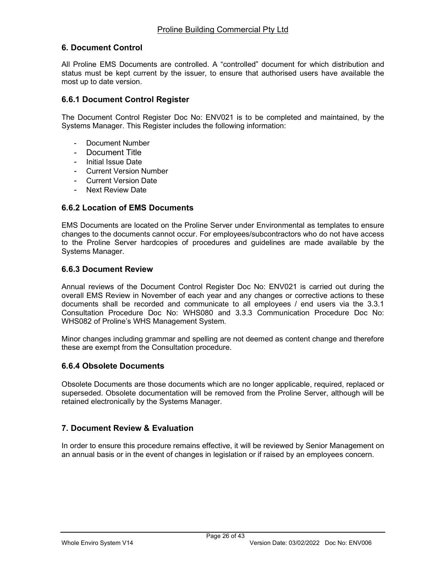### 6. Document Control

All Proline EMS Documents are controlled. A "controlled" document for which distribution and status must be kept current by the issuer, to ensure that authorised users have available the most up to date version.

#### 6.6.1 Document Control Register

The Document Control Register Doc No: ENV021 is to be completed and maintained, by the Systems Manager. This Register includes the following information:

- Document Number
- Document Title
- Initial Issue Date
- Current Version Number
- Current Version Date
- Next Review Date

#### 6.6.2 Location of EMS Documents

EMS Documents are located on the Proline Server under Environmental as templates to ensure changes to the documents cannot occur. For employees/subcontractors who do not have access to the Proline Server hardcopies of procedures and guidelines are made available by the Systems Manager.

#### 6.6.3 Document Review

Annual reviews of the Document Control Register Doc No: ENV021 is carried out during the overall EMS Review in November of each year and any changes or corrective actions to these documents shall be recorded and communicate to all employees / end users via the 3.3.1 Consultation Procedure Doc No: WHS080 and 3.3.3 Communication Procedure Doc No: WHS082 of Proline's WHS Management System.

Minor changes including grammar and spelling are not deemed as content change and therefore these are exempt from the Consultation procedure.

#### 6.6.4 Obsolete Documents

Obsolete Documents are those documents which are no longer applicable, required, replaced or superseded. Obsolete documentation will be removed from the Proline Server, although will be retained electronically by the Systems Manager.

### 7. Document Review & Evaluation

In order to ensure this procedure remains effective, it will be reviewed by Senior Management on an annual basis or in the event of changes in legislation or if raised by an employees concern.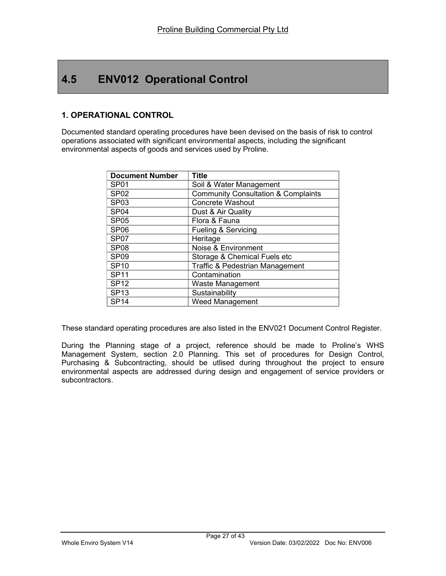# 4.5 ENV012 Operational Control

## 1. OPERATIONAL CONTROL

Documented standard operating procedures have been devised on the basis of risk to control operations associated with significant environmental aspects, including the significant environmental aspects of goods and services used by Proline.

| <b>Document Number</b> | <b>Title</b>                                   |
|------------------------|------------------------------------------------|
| SP <sub>01</sub>       | Soil & Water Management                        |
| <b>SP02</b>            | <b>Community Consultation &amp; Complaints</b> |
| SP <sub>03</sub>       | <b>Concrete Washout</b>                        |
| SP <sub>04</sub>       | Dust & Air Quality                             |
| <b>SP05</b>            | Flora & Fauna                                  |
| <b>SP06</b>            | Fueling & Servicing                            |
| SP <sub>07</sub>       | Heritage                                       |
| SP <sub>08</sub>       | Noise & Environment                            |
| SP <sub>09</sub>       | Storage & Chemical Fuels etc                   |
| <b>SP10</b>            | Traffic & Pedestrian Management                |
| <b>SP11</b>            | Contamination                                  |
| <b>SP12</b>            | <b>Waste Management</b>                        |
| <b>SP13</b>            | Sustainability                                 |
| SP <sub>14</sub>       | <b>Weed Management</b>                         |

These standard operating procedures are also listed in the ENV021 Document Control Register.

During the Planning stage of a project, reference should be made to Proline's WHS Management System, section 2.0 Planning. This set of procedures for Design Control, Purchasing & Subcontracting, should be utlised during throughout the project to ensure environmental aspects are addressed during design and engagement of service providers or subcontractors.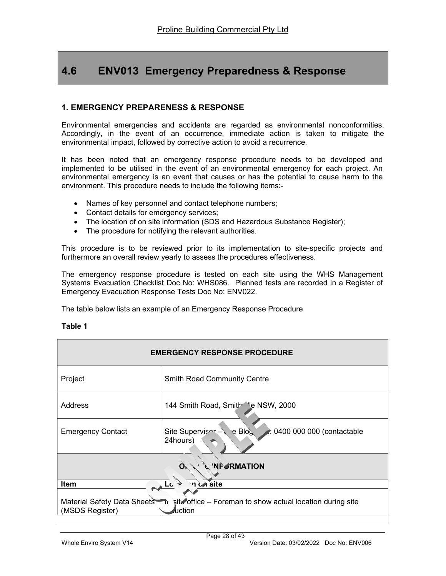# 4.6 ENV013 Emergency Preparedness & Response

### 1. EMERGENCY PREPARENESS & RESPONSE

Environmental emergencies and accidents are regarded as environmental nonconformities. Accordingly, in the event of an occurrence, immediate action is taken to mitigate the environmental impact, followed by corrective action to avoid a recurrence.

It has been noted that an emergency response procedure needs to be developed and implemented to be utilised in the event of an environmental emergency for each project. An environmental emergency is an event that causes or has the potential to cause harm to the environment. This procedure needs to include the following items:-

- Names of key personnel and contact telephone numbers;
- Contact details for emergency services;
- The location of on site information (SDS and Hazardous Substance Register);
- The procedure for notifying the relevant authorities.

This procedure is to be reviewed prior to its implementation to site-specific projects and furthermore an overall review yearly to assess the procedures effectiveness.

The emergency response procedure is tested on each site using the WHS Management Systems Evacuation Checklist Doc No: WHS086. Planned tests are recorded in a Register of Emergency Evacuation Response Tests Doc No: ENV022.

The table below lists an example of an Emergency Response Procedure

#### Table 1

| <b>EMERGENCY RESPONSE PROCEDURE</b>                                                                                           |                                                                                    |  |  |
|-------------------------------------------------------------------------------------------------------------------------------|------------------------------------------------------------------------------------|--|--|
| Project                                                                                                                       | <b>Smith Road Community Centre</b>                                                 |  |  |
| Address                                                                                                                       | 144 Smith Road, Smith Ve NSW, 2000                                                 |  |  |
| <b>Emergency Contact</b>                                                                                                      | e Blo $\zeta$<br>Site Supervisor<br><b>★ 0400 000 000 (contactable</b><br>24hours) |  |  |
| <b>'NFORMATION</b>                                                                                                            |                                                                                    |  |  |
| n on site<br><b>Item</b><br>Lc                                                                                                |                                                                                    |  |  |
| Material Safety Data Sheets <b>in</b> site office – Foreman to show actual location during site<br>(MSDS Register)<br>luction |                                                                                    |  |  |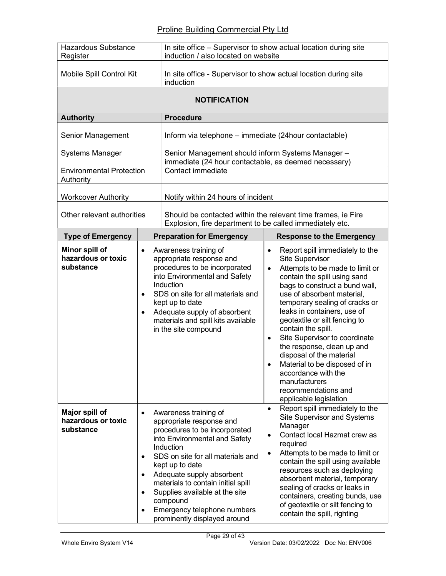| <b>Hazardous Substance</b><br>Register            |                                                               | In site office - Supervisor to show actual location during site<br>induction / also located on website                                                                                                                                                                                                                                                                   |                                                                                                                                                                                                                                                                                                                                                                                                                                                                                                                                                                          |
|---------------------------------------------------|---------------------------------------------------------------|--------------------------------------------------------------------------------------------------------------------------------------------------------------------------------------------------------------------------------------------------------------------------------------------------------------------------------------------------------------------------|--------------------------------------------------------------------------------------------------------------------------------------------------------------------------------------------------------------------------------------------------------------------------------------------------------------------------------------------------------------------------------------------------------------------------------------------------------------------------------------------------------------------------------------------------------------------------|
| Mobile Spill Control Kit                          |                                                               | In site office - Supervisor to show actual location during site<br>induction                                                                                                                                                                                                                                                                                             |                                                                                                                                                                                                                                                                                                                                                                                                                                                                                                                                                                          |
| <b>NOTIFICATION</b>                               |                                                               |                                                                                                                                                                                                                                                                                                                                                                          |                                                                                                                                                                                                                                                                                                                                                                                                                                                                                                                                                                          |
| <b>Authority</b>                                  |                                                               | <b>Procedure</b>                                                                                                                                                                                                                                                                                                                                                         |                                                                                                                                                                                                                                                                                                                                                                                                                                                                                                                                                                          |
| Senior Management                                 |                                                               | Inform via telephone – immediate (24 hour contactable)                                                                                                                                                                                                                                                                                                                   |                                                                                                                                                                                                                                                                                                                                                                                                                                                                                                                                                                          |
| <b>Systems Manager</b>                            |                                                               | Senior Management should inform Systems Manager -<br>immediate (24 hour contactable, as deemed necessary)                                                                                                                                                                                                                                                                |                                                                                                                                                                                                                                                                                                                                                                                                                                                                                                                                                                          |
| <b>Environmental Protection</b><br>Authority      |                                                               | Contact immediate                                                                                                                                                                                                                                                                                                                                                        |                                                                                                                                                                                                                                                                                                                                                                                                                                                                                                                                                                          |
| <b>Workcover Authority</b>                        |                                                               | Notify within 24 hours of incident                                                                                                                                                                                                                                                                                                                                       |                                                                                                                                                                                                                                                                                                                                                                                                                                                                                                                                                                          |
| Other relevant authorities                        |                                                               | Should be contacted within the relevant time frames, ie Fire<br>Explosion, fire department to be called immediately etc.                                                                                                                                                                                                                                                 |                                                                                                                                                                                                                                                                                                                                                                                                                                                                                                                                                                          |
| <b>Type of Emergency</b>                          |                                                               | <b>Preparation for Emergency</b>                                                                                                                                                                                                                                                                                                                                         | <b>Response to the Emergency</b>                                                                                                                                                                                                                                                                                                                                                                                                                                                                                                                                         |
| Minor spill of<br>hazardous or toxic<br>substance | $\bullet$<br>$\bullet$<br>$\bullet$                           | Awareness training of<br>appropriate response and<br>procedures to be incorporated<br>into Environmental and Safety<br>Induction<br>SDS on site for all materials and<br>kept up to date<br>Adequate supply of absorbent<br>materials and spill kits available<br>in the site compound                                                                                   | Report spill immediately to the<br>٠<br><b>Site Supervisor</b><br>Attempts to be made to limit or<br>$\bullet$<br>contain the spill using sand<br>bags to construct a bund wall,<br>use of absorbent material,<br>temporary sealing of cracks or<br>leaks in containers, use of<br>geotextile or silt fencing to<br>contain the spill.<br>Site Supervisor to coordinate<br>$\bullet$<br>the response, clean up and<br>disposal of the material<br>Material to be disposed of in<br>accordance with the<br>manufacturers<br>recommendations and<br>applicable legislation |
| Major spill of<br>hazardous or toxic<br>substance | $\bullet$<br>$\bullet$<br>$\bullet$<br>$\bullet$<br>$\bullet$ | Awareness training of<br>appropriate response and<br>procedures to be incorporated<br>into Environmental and Safety<br>Induction<br>SDS on site for all materials and<br>kept up to date<br>Adequate supply absorbent<br>materials to contain initial spill<br>Supplies available at the site<br>compound<br>Emergency telephone numbers<br>prominently displayed around | Report spill immediately to the<br>$\bullet$<br>Site Supervisor and Systems<br>Manager<br>Contact local Hazmat crew as<br>$\bullet$<br>required<br>Attempts to be made to limit or<br>$\bullet$<br>contain the spill using available<br>resources such as deploying<br>absorbent material, temporary<br>sealing of cracks or leaks in<br>containers, creating bunds, use<br>of geotextile or silt fencing to<br>contain the spill, righting                                                                                                                              |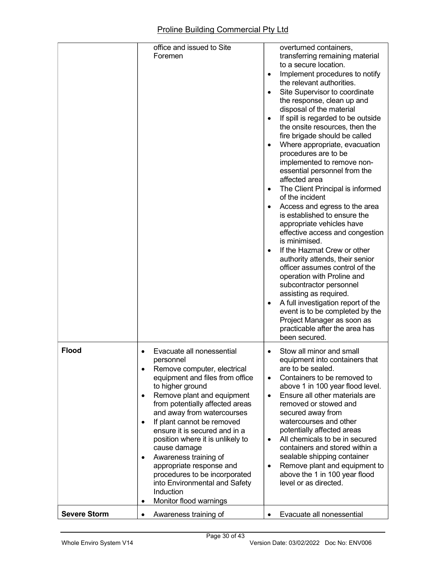|                     | office and issued to Site<br>Foremen                                                                                                                                                                                                                                                                                                                                                                                                                                                                                                          | overturned containers,<br>transferring remaining material<br>to a secure location.<br>Implement procedures to notify<br>the relevant authorities.<br>Site Supervisor to coordinate<br>the response, clean up and<br>disposal of the material<br>If spill is regarded to be outside<br>the onsite resources, then the<br>fire brigade should be called<br>Where appropriate, evacuation<br>procedures are to be<br>implemented to remove non-<br>essential personnel from the<br>affected area<br>The Client Principal is informed<br>of the incident<br>Access and egress to the area<br>is established to ensure the<br>appropriate vehicles have<br>effective access and congestion<br>is minimised.<br>If the Hazmat Crew or other<br>٠<br>authority attends, their senior<br>officer assumes control of the<br>operation with Proline and<br>subcontractor personnel<br>assisting as required.<br>A full investigation report of the<br>event is to be completed by the<br>Project Manager as soon as<br>practicable after the area has<br>been secured. |
|---------------------|-----------------------------------------------------------------------------------------------------------------------------------------------------------------------------------------------------------------------------------------------------------------------------------------------------------------------------------------------------------------------------------------------------------------------------------------------------------------------------------------------------------------------------------------------|--------------------------------------------------------------------------------------------------------------------------------------------------------------------------------------------------------------------------------------------------------------------------------------------------------------------------------------------------------------------------------------------------------------------------------------------------------------------------------------------------------------------------------------------------------------------------------------------------------------------------------------------------------------------------------------------------------------------------------------------------------------------------------------------------------------------------------------------------------------------------------------------------------------------------------------------------------------------------------------------------------------------------------------------------------------|
| <b>Flood</b>        | Evacuate all nonessential<br>personnel<br>Remove computer, electrical<br>٠<br>equipment and files from office<br>to higher ground<br>Remove plant and equipment<br>$\bullet$<br>from potentially affected areas<br>and away from watercourses<br>If plant cannot be removed<br>٠<br>ensure it is secured and in a<br>position where it is unlikely to<br>cause damage<br>Awareness training of<br>٠<br>appropriate response and<br>procedures to be incorporated<br>into Environmental and Safety<br>Induction<br>Monitor flood warnings<br>٠ | Stow all minor and small<br>equipment into containers that<br>are to be sealed.<br>Containers to be removed to<br>$\bullet$<br>above 1 in 100 year flood level.<br>Ensure all other materials are<br>$\bullet$<br>removed or stowed and<br>secured away from<br>watercourses and other<br>potentially affected areas<br>All chemicals to be in secured<br>$\bullet$<br>containers and stored within a<br>sealable shipping container<br>Remove plant and equipment to<br>$\bullet$<br>above the 1 in 100 year flood<br>level or as directed.                                                                                                                                                                                                                                                                                                                                                                                                                                                                                                                 |
| <b>Severe Storm</b> | Awareness training of                                                                                                                                                                                                                                                                                                                                                                                                                                                                                                                         | Evacuate all nonessential                                                                                                                                                                                                                                                                                                                                                                                                                                                                                                                                                                                                                                                                                                                                                                                                                                                                                                                                                                                                                                    |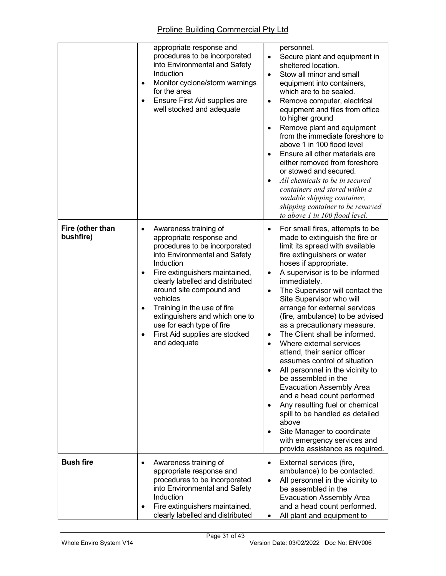|                               | appropriate response and<br>procedures to be incorporated<br>into Environmental and Safety<br>Induction<br>Monitor cyclone/storm warnings<br>$\bullet$<br>for the area<br>Ensure First Aid supplies are<br>$\bullet$<br>well stocked and adequate                                                                                                                                                                                  | personnel.<br>Secure plant and equipment in<br>$\bullet$<br>sheltered location.<br>Stow all minor and small<br>$\bullet$<br>equipment into containers,<br>which are to be sealed.<br>Remove computer, electrical<br>$\bullet$<br>equipment and files from office<br>to higher ground<br>Remove plant and equipment<br>from the immediate foreshore to<br>above 1 in 100 flood level<br>Ensure all other materials are<br>either removed from foreshore<br>or stowed and secured.<br>All chemicals to be in secured<br>٠<br>containers and stored within a<br>sealable shipping container,<br>shipping container to be removed<br>to above 1 in 100 flood level.                                                                                                                                                                                                                      |
|-------------------------------|------------------------------------------------------------------------------------------------------------------------------------------------------------------------------------------------------------------------------------------------------------------------------------------------------------------------------------------------------------------------------------------------------------------------------------|--------------------------------------------------------------------------------------------------------------------------------------------------------------------------------------------------------------------------------------------------------------------------------------------------------------------------------------------------------------------------------------------------------------------------------------------------------------------------------------------------------------------------------------------------------------------------------------------------------------------------------------------------------------------------------------------------------------------------------------------------------------------------------------------------------------------------------------------------------------------------------------|
| Fire (other than<br>bushfire) | Awareness training of<br>$\bullet$<br>appropriate response and<br>procedures to be incorporated<br>into Environmental and Safety<br>Induction<br>Fire extinguishers maintained,<br>$\bullet$<br>clearly labelled and distributed<br>around site compound and<br>vehicles<br>Training in the use of fire<br>٠<br>extinguishers and which one to<br>use for each type of fire<br>First Aid supplies are stocked<br>٠<br>and adequate | For small fires, attempts to be<br>$\bullet$<br>made to extinguish the fire or<br>limit its spread with available<br>fire extinguishers or water<br>hoses if appropriate.<br>A supervisor is to be informed<br>$\bullet$<br>immediately.<br>The Supervisor will contact the<br>$\bullet$<br>Site Supervisor who will<br>arrange for external services<br>(fire, ambulance) to be advised<br>as a precautionary measure.<br>The Client shall be informed.<br>٠<br>Where external services<br>$\bullet$<br>attend, their senior officer<br>assumes control of situation<br>All personnel in the vicinity to<br>be assembled in the<br><b>Evacuation Assembly Area</b><br>and a head count performed<br>Any resulting fuel or chemical<br>spill to be handled as detailed<br>above<br>Site Manager to coordinate<br>٠<br>with emergency services and<br>provide assistance as required. |
| <b>Bush fire</b>              | Awareness training of<br>appropriate response and<br>procedures to be incorporated<br>into Environmental and Safety<br>Induction<br>Fire extinguishers maintained,<br>clearly labelled and distributed                                                                                                                                                                                                                             | External services (fire,<br>$\bullet$<br>ambulance) to be contacted.<br>All personnel in the vicinity to<br>$\bullet$<br>be assembled in the<br><b>Evacuation Assembly Area</b><br>and a head count performed.<br>All plant and equipment to                                                                                                                                                                                                                                                                                                                                                                                                                                                                                                                                                                                                                                         |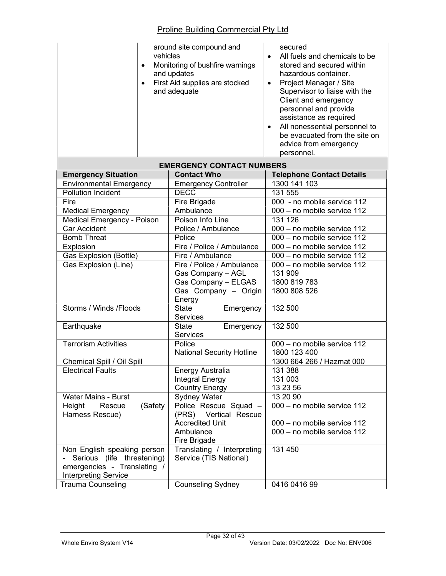| vehicles<br>$\bullet$<br>$\bullet$ | around site compound and<br>Monitoring of bushfire warnings<br>and updates<br>First Aid supplies are stocked<br>and adequate | secured<br>All fuels and chemicals to be<br>$\bullet$<br>stored and secured within<br>hazardous container.<br>Project Manager / Site<br>$\bullet$<br>Supervisor to liaise with the<br>Client and emergency<br>personnel and provide<br>assistance as required<br>All nonessential personnel to<br>$\bullet$<br>be evacuated from the site on<br>advice from emergency<br>personnel. |
|------------------------------------|------------------------------------------------------------------------------------------------------------------------------|-------------------------------------------------------------------------------------------------------------------------------------------------------------------------------------------------------------------------------------------------------------------------------------------------------------------------------------------------------------------------------------|
|                                    | <b>EMERGENCY CONTACT NUMBERS</b>                                                                                             |                                                                                                                                                                                                                                                                                                                                                                                     |
| <b>Emergency Situation</b>         | <b>Contact Who</b>                                                                                                           | <b>Telephone Contact Details</b>                                                                                                                                                                                                                                                                                                                                                    |
| <b>Environmental Emergency</b>     | <b>Emergency Controller</b>                                                                                                  | 1300 141 103                                                                                                                                                                                                                                                                                                                                                                        |
| <b>Pollution Incident</b>          | <b>DECC</b>                                                                                                                  | 131 555                                                                                                                                                                                                                                                                                                                                                                             |
| Fire                               | Fire Brigade                                                                                                                 | 000 - no mobile service 112                                                                                                                                                                                                                                                                                                                                                         |
| <b>Medical Emergency</b>           | Ambulance                                                                                                                    | 000 - no mobile service 112                                                                                                                                                                                                                                                                                                                                                         |
| <b>Medical Emergency - Poison</b>  | Poison Info Line                                                                                                             | 131 126                                                                                                                                                                                                                                                                                                                                                                             |
| <b>Car Accident</b>                | Police / Ambulance                                                                                                           | 000 - no mobile service 112                                                                                                                                                                                                                                                                                                                                                         |
| <b>Bomb Threat</b>                 | Police                                                                                                                       | 000 - no mobile service 112                                                                                                                                                                                                                                                                                                                                                         |
| Explosion                          | Fire / Police / Ambulance                                                                                                    | 000 - no mobile service 112                                                                                                                                                                                                                                                                                                                                                         |
| Gas Explosion (Bottle)             | Fire / Ambulance                                                                                                             | 000 - no mobile service 112                                                                                                                                                                                                                                                                                                                                                         |
| Gas Explosion (Line)               | Fire / Police / Ambulance                                                                                                    | $\overline{000}$ – no mobile service 112                                                                                                                                                                                                                                                                                                                                            |
|                                    | Gas Company - AGL                                                                                                            | 131 909                                                                                                                                                                                                                                                                                                                                                                             |
|                                    | Gas Company - ELGAS                                                                                                          | 1800 819 783                                                                                                                                                                                                                                                                                                                                                                        |
|                                    | Gas Company - Origin                                                                                                         | 1800 808 526                                                                                                                                                                                                                                                                                                                                                                        |
|                                    | Energy                                                                                                                       |                                                                                                                                                                                                                                                                                                                                                                                     |
| Storms / Winds / Floods            | <b>State</b><br>Emergency                                                                                                    | 132 500                                                                                                                                                                                                                                                                                                                                                                             |
|                                    | <b>Services</b>                                                                                                              |                                                                                                                                                                                                                                                                                                                                                                                     |
| Earthquake                         | <b>State</b><br>Emergency                                                                                                    | 132 500                                                                                                                                                                                                                                                                                                                                                                             |
|                                    | <b>Services</b>                                                                                                              |                                                                                                                                                                                                                                                                                                                                                                                     |
| <b>Terrorism Activities</b>        | Police                                                                                                                       | 000 - no mobile service 112                                                                                                                                                                                                                                                                                                                                                         |
|                                    | <b>National Security Hotline</b>                                                                                             | 1800 123 400                                                                                                                                                                                                                                                                                                                                                                        |
| Chemical Spill / Oil Spill         |                                                                                                                              | 1300 664 266 / Hazmat 000                                                                                                                                                                                                                                                                                                                                                           |
| <b>Electrical Faults</b>           | Energy Australia                                                                                                             | 131 388                                                                                                                                                                                                                                                                                                                                                                             |
|                                    | Integral Energy                                                                                                              | 131 003                                                                                                                                                                                                                                                                                                                                                                             |
|                                    | Country Energy                                                                                                               | 13 23 56                                                                                                                                                                                                                                                                                                                                                                            |
| Water Mains - Burst                | <b>Sydney Water</b>                                                                                                          | 13 20 90                                                                                                                                                                                                                                                                                                                                                                            |
| (Safety<br>Height<br>Rescue        | Police Rescue Squad -                                                                                                        | 000 - no mobile service 112                                                                                                                                                                                                                                                                                                                                                         |
| Harness Rescue)                    | (PRS) Vertical Rescue                                                                                                        |                                                                                                                                                                                                                                                                                                                                                                                     |
|                                    | <b>Accredited Unit</b>                                                                                                       | 000 - no mobile service 112                                                                                                                                                                                                                                                                                                                                                         |
|                                    | Ambulance                                                                                                                    | 000 - no mobile service 112                                                                                                                                                                                                                                                                                                                                                         |
|                                    | Fire Brigade                                                                                                                 |                                                                                                                                                                                                                                                                                                                                                                                     |
| Non English speaking person        | Translating / Interpreting                                                                                                   | 131 450                                                                                                                                                                                                                                                                                                                                                                             |
| Serious (life threatening)         | Service (TIS National)                                                                                                       |                                                                                                                                                                                                                                                                                                                                                                                     |
| emergencies - Translating /        |                                                                                                                              |                                                                                                                                                                                                                                                                                                                                                                                     |
| <b>Interpreting Service</b>        |                                                                                                                              |                                                                                                                                                                                                                                                                                                                                                                                     |
| <b>Trauma Counseling</b>           | <b>Counseling Sydney</b>                                                                                                     | 0416 0416 99                                                                                                                                                                                                                                                                                                                                                                        |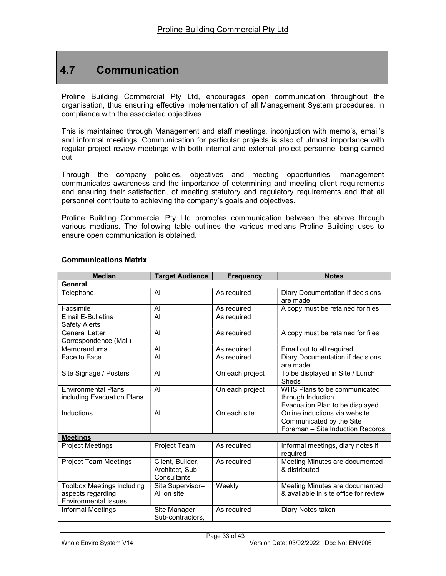# 4.7 Communication

Proline Building Commercial Pty Ltd, encourages open communication throughout the organisation, thus ensuring effective implementation of all Management System procedures, in compliance with the associated objectives.

This is maintained through Management and staff meetings, inconjuction with memo's, email's and informal meetings. Communication for particular projects is also of utmost importance with regular project review meetings with both internal and external project personnel being carried out.

Through the company policies, objectives and meeting opportunities, management communicates awareness and the importance of determining and meeting client requirements and ensuring their satisfaction, of meeting statutory and regulatory requirements and that all personnel contribute to achieving the company's goals and objectives.

Proline Building Commercial Pty Ltd promotes communication between the above through various medians. The following table outlines the various medians Proline Building uses to ensure open communication is obtained.

| <b>Median</b>                                                                         | <b>Target Audience</b>                            | <b>Frequency</b> | <b>Notes</b>                                                                                  |
|---------------------------------------------------------------------------------------|---------------------------------------------------|------------------|-----------------------------------------------------------------------------------------------|
| General                                                                               |                                                   |                  |                                                                                               |
| Telephone                                                                             | All                                               | As required      | Diary Documentation if decisions<br>are made                                                  |
| Facsimile                                                                             | All                                               | As required      | A copy must be retained for files                                                             |
| <b>Email E-Bulletins</b><br><b>Safety Alerts</b>                                      | All                                               | As required      |                                                                                               |
| General Letter<br>Correspondence (Mail)                                               | All                                               | As required      | A copy must be retained for files                                                             |
| Memorandums                                                                           | All                                               | As required      | Email out to all required                                                                     |
| Face to Face                                                                          | All                                               | As required      | Diary Documentation if decisions<br>are made                                                  |
| Site Signage / Posters                                                                | All                                               | On each project  | To be displayed in Site / Lunch<br>Sheds                                                      |
| <b>Environmental Plans</b><br>including Evacuation Plans                              | All                                               | On each project  | WHS Plans to be communicated<br>through Induction<br>Evacuation Plan to be displayed          |
| Inductions                                                                            | All                                               | On each site     | Online inductions via website<br>Communicated by the Site<br>Foreman - Site Induction Records |
| <b>Meetings</b>                                                                       |                                                   |                  |                                                                                               |
| <b>Project Meetings</b>                                                               | Project Team                                      | As required      | Informal meetings, diary notes if<br>required                                                 |
| <b>Project Team Meetings</b>                                                          | Client, Builder,<br>Architect, Sub<br>Consultants | As required      | Meeting Minutes are documented<br>& distributed                                               |
| <b>Toolbox Meetings including</b><br>aspects regarding<br><b>Environmental Issues</b> | Site Supervisor-<br>All on site                   | Weekly           | Meeting Minutes are documented<br>& available in site office for review                       |
| <b>Informal Meetings</b>                                                              | Site Manager<br>Sub-contractors.                  | As required      | Diary Notes taken                                                                             |

#### Communications Matrix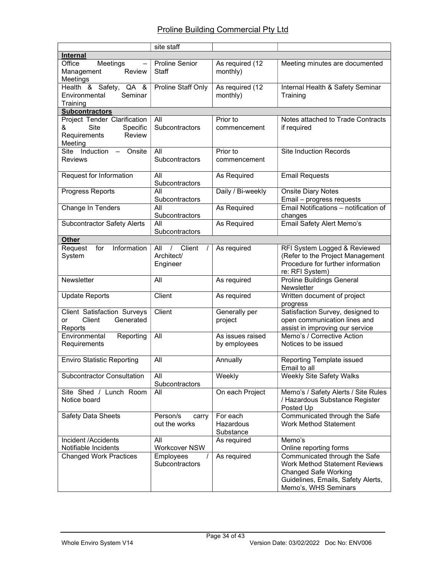|                                                                                                   | site staff                                |                                    |                                                                                                                                                                    |
|---------------------------------------------------------------------------------------------------|-------------------------------------------|------------------------------------|--------------------------------------------------------------------------------------------------------------------------------------------------------------------|
| <b>Internal</b>                                                                                   |                                           |                                    |                                                                                                                                                                    |
| Office<br>Meetings<br>$\qquad \qquad -$<br>Management<br>Review<br>Meetings                       | <b>Proline Senior</b><br>Staff            | As required (12<br>monthly)        | Meeting minutes are documented                                                                                                                                     |
| Health & Safety, QA &<br>Environmental<br>Seminar<br>Training                                     | Proline Staff Only                        | As required (12<br>monthly)        | Internal Health & Safety Seminar<br>Training                                                                                                                       |
| <b>Subcontractors</b>                                                                             |                                           |                                    |                                                                                                                                                                    |
| Project Tender Clarification<br><b>Site</b><br>Specific<br>&<br>Review<br>Requirements<br>Meeting | All<br>Subcontractors                     | Prior to<br>commencement           | Notes attached to Trade Contracts<br>if required                                                                                                                   |
| Site Induction - Onsite<br><b>Reviews</b>                                                         | All<br>Subcontractors                     | Prior to<br>commencement           | <b>Site Induction Records</b>                                                                                                                                      |
| Request for Information                                                                           | All<br>Subcontractors                     | As Required                        | <b>Email Requests</b>                                                                                                                                              |
| Progress Reports                                                                                  | All<br>Subcontractors                     | Daily / Bi-weekly                  | <b>Onsite Diary Notes</b><br>Email - progress requests                                                                                                             |
| Change In Tenders                                                                                 | All<br>Subcontractors                     | As Required                        | Email Notifications - notification of<br>changes                                                                                                                   |
| <b>Subcontractor Safety Alerts</b>                                                                | All<br>Subcontractors                     | As Required                        | Email Safety Alert Memo's                                                                                                                                          |
| <b>Other</b>                                                                                      |                                           |                                    |                                                                                                                                                                    |
| Information<br>Request<br>for<br>System                                                           | / Client<br>All<br>Architect/<br>Engineer | As required                        | RFI System Logged & Reviewed<br>(Refer to the Project Management<br>Procedure for further information<br>re: RFI System)                                           |
| Newsletter                                                                                        | All                                       | As required                        | <b>Proline Buildings General</b><br>Newsletter                                                                                                                     |
| <b>Update Reports</b>                                                                             | Client                                    | As required                        | Written document of project<br>progress                                                                                                                            |
| <b>Client Satisfaction Surveys</b><br>Generated<br>Client<br>or<br>Reports                        | Client                                    | Generally per<br>project           | Satisfaction Survey, designed to<br>open communication lines and<br>assist in improving our service                                                                |
| Environmental<br>Reporting<br>Requirements                                                        | All                                       | As issues raised<br>by employees   | Memo's / Corrective Action<br>Notices to be issued                                                                                                                 |
| <b>Enviro Statistic Reporting</b>                                                                 | All                                       | Annually                           | Reporting Template issued<br>Email to all                                                                                                                          |
| <b>Subcontractor Consultation</b>                                                                 | All<br>Subcontractors                     | Weekly                             | <b>Weekly Site Safety Walks</b>                                                                                                                                    |
| Site Shed / Lunch Room<br>Notice board                                                            | All                                       | On each Project                    | Memo's / Safety Alerts / Site Rules<br>/ Hazardous Substance Register<br>Posted Up                                                                                 |
| Safety Data Sheets                                                                                | Person/s<br>carry<br>out the works        | For each<br>Hazardous<br>Substance | Communicated through the Safe<br><b>Work Method Statement</b>                                                                                                      |
| Incident /Accidents<br>Notifiable Incidents                                                       | All<br>Workcover NSW                      | As required                        | Memo's<br>Online reporting forms                                                                                                                                   |
| <b>Changed Work Practices</b>                                                                     | Employees<br>Subcontractors               | As required                        | Communicated through the Safe<br><b>Work Method Statement Reviews</b><br><b>Changed Safe Working</b><br>Guidelines, Emails, Safety Alerts,<br>Memo's, WHS Seminars |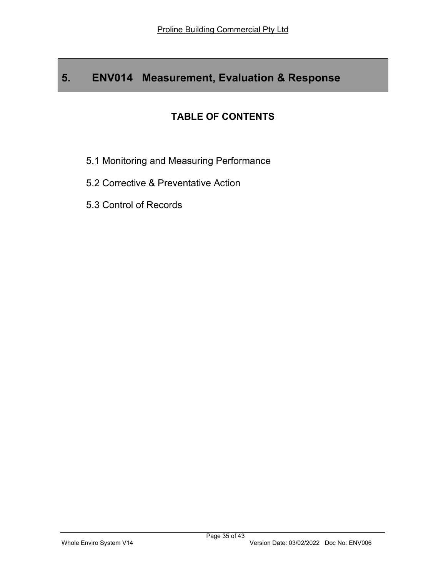# 5. ENV014 Measurement, Evaluation & Response

## TABLE OF CONTENTS

- 5.1 Monitoring and Measuring Performance
- 5.2 Corrective & Preventative Action
- 5.3 Control of Records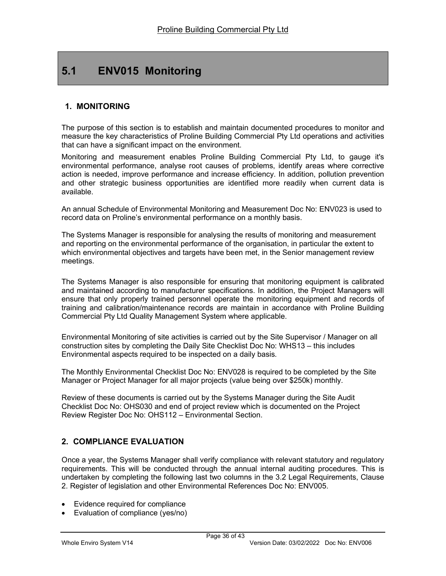# 5.1 ENV015 Monitoring

### 1. MONITORING

The purpose of this section is to establish and maintain documented procedures to monitor and measure the key characteristics of Proline Building Commercial Pty Ltd operations and activities that can have a significant impact on the environment.

Monitoring and measurement enables Proline Building Commercial Pty Ltd, to gauge it's environmental performance, analyse root causes of problems, identify areas where corrective action is needed, improve performance and increase efficiency. In addition, pollution prevention and other strategic business opportunities are identified more readily when current data is available.

An annual Schedule of Environmental Monitoring and Measurement Doc No: ENV023 is used to record data on Proline's environmental performance on a monthly basis.

The Systems Manager is responsible for analysing the results of monitoring and measurement and reporting on the environmental performance of the organisation, in particular the extent to which environmental objectives and targets have been met, in the Senior management review meetings.

The Systems Manager is also responsible for ensuring that monitoring equipment is calibrated and maintained according to manufacturer specifications. In addition, the Project Managers will ensure that only properly trained personnel operate the monitoring equipment and records of training and calibration/maintenance records are maintain in accordance with Proline Building Commercial Pty Ltd Quality Management System where applicable.

Environmental Monitoring of site activities is carried out by the Site Supervisor / Manager on all construction sites by completing the Daily Site Checklist Doc No: WHS13 – this includes Environmental aspects required to be inspected on a daily basis.

The Monthly Environmental Checklist Doc No: ENV028 is required to be completed by the Site Manager or Project Manager for all major projects (value being over \$250k) monthly.

Review of these documents is carried out by the Systems Manager during the Site Audit Checklist Doc No: OHS030 and end of project review which is documented on the Project Review Register Doc No: OHS112 – Environmental Section.

## 2. COMPLIANCE EVALUATION

Once a year, the Systems Manager shall verify compliance with relevant statutory and regulatory requirements. This will be conducted through the annual internal auditing procedures. This is undertaken by completing the following last two columns in the 3.2 Legal Requirements, Clause 2. Register of legislation and other Environmental References Doc No: ENV005.

- Evidence required for compliance
- Evaluation of compliance (yes/no)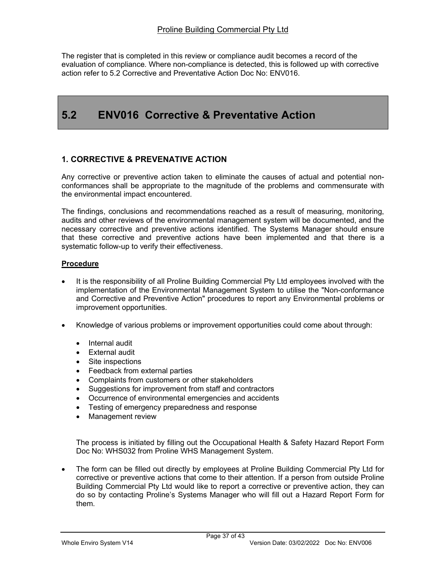The register that is completed in this review or compliance audit becomes a record of the evaluation of compliance. Where non-compliance is detected, this is followed up with corrective action refer to 5.2 Corrective and Preventative Action Doc No: ENV016.

# 5.2 ENV016 Corrective & Preventative Action

### 1. CORRECTIVE & PREVENATIVE ACTION

Any corrective or preventive action taken to eliminate the causes of actual and potential nonconformances shall be appropriate to the magnitude of the problems and commensurate with the environmental impact encountered.

The findings, conclusions and recommendations reached as a result of measuring, monitoring, audits and other reviews of the environmental management system will be documented, and the necessary corrective and preventive actions identified. The Systems Manager should ensure that these corrective and preventive actions have been implemented and that there is a systematic follow-up to verify their effectiveness.

#### **Procedure**

- It is the responsibility of all Proline Building Commercial Pty Ltd employees involved with the implementation of the Environmental Management System to utilise the "Non-conformance and Corrective and Preventive Action" procedures to report any Environmental problems or improvement opportunities.
- Knowledge of various problems or improvement opportunities could come about through:
	- Internal audit
	- External audit
	- Site inspections
	- Feedback from external parties
	- Complaints from customers or other stakeholders
	- Suggestions for improvement from staff and contractors
	- Occurrence of environmental emergencies and accidents
	- Testing of emergency preparedness and response
	- Management review

The process is initiated by filling out the Occupational Health & Safety Hazard Report Form Doc No: WHS032 from Proline WHS Management System.

 The form can be filled out directly by employees at Proline Building Commercial Pty Ltd for corrective or preventive actions that come to their attention. If a person from outside Proline Building Commercial Pty Ltd would like to report a corrective or preventive action, they can do so by contacting Proline's Systems Manager who will fill out a Hazard Report Form for them.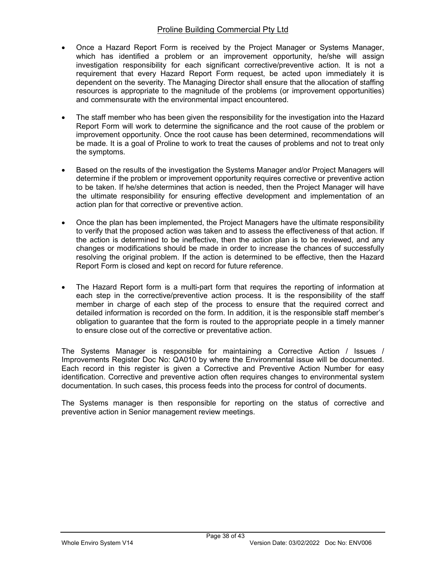- Once a Hazard Report Form is received by the Project Manager or Systems Manager, which has identified a problem or an improvement opportunity, he/she will assign investigation responsibility for each significant corrective/preventive action. It is not a requirement that every Hazard Report Form request, be acted upon immediately it is dependent on the severity. The Managing Director shall ensure that the allocation of staffing resources is appropriate to the magnitude of the problems (or improvement opportunities) and commensurate with the environmental impact encountered.
- The staff member who has been given the responsibility for the investigation into the Hazard Report Form will work to determine the significance and the root cause of the problem or improvement opportunity. Once the root cause has been determined, recommendations will be made. It is a goal of Proline to work to treat the causes of problems and not to treat only the symptoms.
- Based on the results of the investigation the Systems Manager and/or Project Managers will determine if the problem or improvement opportunity requires corrective or preventive action to be taken. If he/she determines that action is needed, then the Project Manager will have the ultimate responsibility for ensuring effective development and implementation of an action plan for that corrective or preventive action.
- Once the plan has been implemented, the Project Managers have the ultimate responsibility to verify that the proposed action was taken and to assess the effectiveness of that action. If the action is determined to be ineffective, then the action plan is to be reviewed, and any changes or modifications should be made in order to increase the chances of successfully resolving the original problem. If the action is determined to be effective, then the Hazard Report Form is closed and kept on record for future reference.
- The Hazard Report form is a multi-part form that requires the reporting of information at each step in the corrective/preventive action process. It is the responsibility of the staff member in charge of each step of the process to ensure that the required correct and detailed information is recorded on the form. In addition, it is the responsible staff member's obligation to guarantee that the form is routed to the appropriate people in a timely manner to ensure close out of the corrective or preventative action.

The Systems Manager is responsible for maintaining a Corrective Action / Issues / Improvements Register Doc No: QA010 by where the Environmental issue will be documented. Each record in this register is given a Corrective and Preventive Action Number for easy identification. Corrective and preventive action often requires changes to environmental system documentation. In such cases, this process feeds into the process for control of documents.

The Systems manager is then responsible for reporting on the status of corrective and preventive action in Senior management review meetings.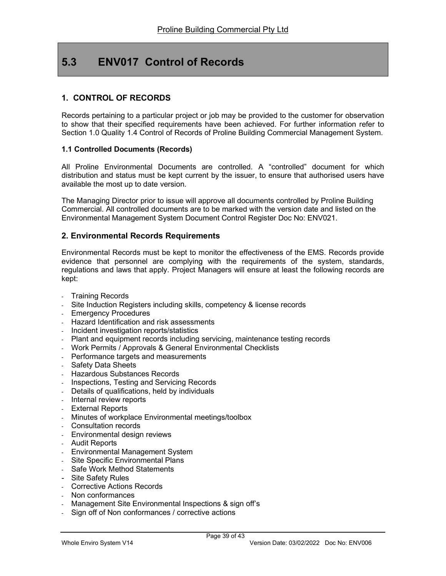# 5.3 ENV017 Control of Records

### 1. CONTROL OF RECORDS

Records pertaining to a particular project or job may be provided to the customer for observation to show that their specified requirements have been achieved. For further information refer to Section 1.0 Quality 1.4 Control of Records of Proline Building Commercial Management System.

#### 1.1 Controlled Documents (Records)

All Proline Environmental Documents are controlled. A "controlled" document for which distribution and status must be kept current by the issuer, to ensure that authorised users have available the most up to date version.

The Managing Director prior to issue will approve all documents controlled by Proline Building Commercial. All controlled documents are to be marked with the version date and listed on the Environmental Management System Document Control Register Doc No: ENV021.

#### 2. Environmental Records Requirements

Environmental Records must be kept to monitor the effectiveness of the EMS. Records provide evidence that personnel are complying with the requirements of the system, standards, regulations and laws that apply. Project Managers will ensure at least the following records are kept:

- **Training Records**
- Site Induction Registers including skills, competency & license records
- Emergency Procedures
- Hazard Identification and risk assessments
- Incident investigation reports/statistics
- Plant and equipment records including servicing, maintenance testing records
- Work Permits / Approvals & General Environmental Checklists
- Performance targets and measurements
- Safety Data Sheets
- Hazardous Substances Records
- Inspections, Testing and Servicing Records
- Details of qualifications, held by individuals
- Internal review reports
- External Reports
- Minutes of workplace Environmental meetings/toolbox
- Consultation records
- Environmental design reviews
- Audit Reports
- Environmental Management System
- Site Specific Environmental Plans
- Safe Work Method Statements
- Site Safety Rules
- Corrective Actions Records
- Non conformances
- Management Site Environmental Inspections & sign off's
- Sign off of Non conformances / corrective actions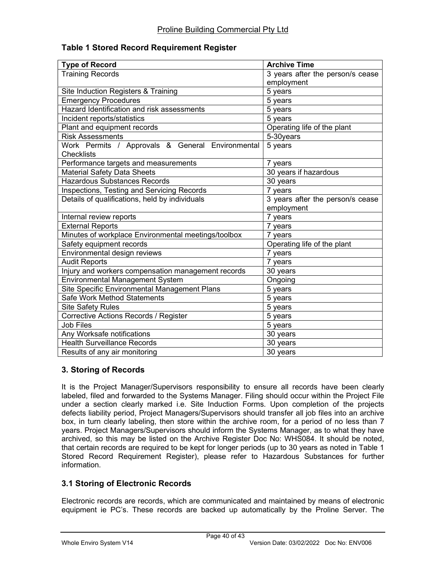#### Table 1 Stored Record Requirement Register

| <b>Type of Record</b>                               | <b>Archive Time</b>                           |
|-----------------------------------------------------|-----------------------------------------------|
| <b>Training Records</b>                             | $\overline{3}$ years after the person/s cease |
|                                                     | employment                                    |
| Site Induction Registers & Training                 | 5 years                                       |
| <b>Emergency Procedures</b>                         | 5 years                                       |
| Hazard Identification and risk assessments          | 5 years                                       |
| Incident reports/statistics                         | 5 years                                       |
| Plant and equipment records                         | Operating life of the plant                   |
| <b>Risk Assessments</b>                             | 5-30years                                     |
| Work Permits / Approvals & General Environmental    | 5 years                                       |
| Checklists                                          |                                               |
| Performance targets and measurements                | 7 years                                       |
| <b>Material Safety Data Sheets</b>                  | 30 years if hazardous                         |
| <b>Hazardous Substances Records</b>                 | 30 years                                      |
| Inspections, Testing and Servicing Records          | 7 years                                       |
| Details of qualifications, held by individuals      | 3 years after the person/s cease              |
|                                                     | employment                                    |
| Internal review reports                             | $\overline{7}$ years                          |
| <b>External Reports</b>                             | 7 years                                       |
| Minutes of workplace Environmental meetings/toolbox | 7 years                                       |
| Safety equipment records                            | Operating life of the plant                   |
| Environmental design reviews                        | 7 years                                       |
| <b>Audit Reports</b>                                | 7 years                                       |
| Injury and workers compensation management records  | 30 years                                      |
| <b>Environmental Management System</b>              | Ongoing                                       |
| Site Specific Environmental Management Plans        | 5 years                                       |
| Safe Work Method Statements                         | 5 years                                       |
| <b>Site Safety Rules</b>                            | 5 years                                       |
| Corrective Actions Records / Register               | 5 years                                       |
| <b>Job Files</b>                                    | 5 years                                       |
| Any Worksafe notifications                          | 30 years                                      |
| <b>Health Surveillance Records</b>                  | 30 years                                      |
| Results of any air monitoring                       | 30 years                                      |

### 3. Storing of Records

It is the Project Manager/Supervisors responsibility to ensure all records have been clearly labeled, filed and forwarded to the Systems Manager. Filing should occur within the Project File under a section clearly marked i.e. Site Induction Forms. Upon completion of the projects defects liability period, Project Managers/Supervisors should transfer all job files into an archive box, in turn clearly labeling, then store within the archive room, for a period of no less than 7 years. Project Managers/Supervisors should inform the Systems Manager, as to what they have archived, so this may be listed on the Archive Register Doc No: WHS084. It should be noted, that certain records are required to be kept for longer periods (up to 30 years as noted in Table 1 Stored Record Requirement Register), please refer to Hazardous Substances for further information.

### 3.1 Storing of Electronic Records

Electronic records are records, which are communicated and maintained by means of electronic equipment ie PC's. These records are backed up automatically by the Proline Server. The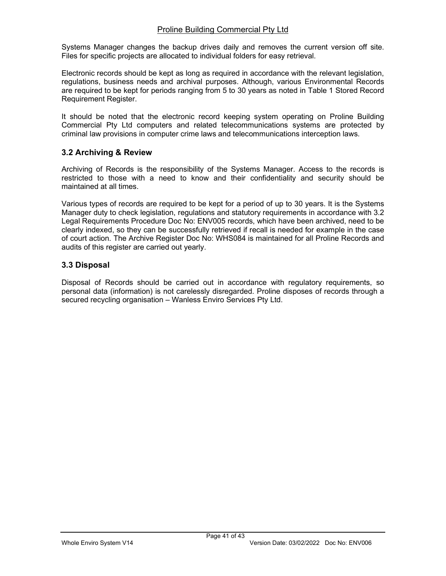Systems Manager changes the backup drives daily and removes the current version off site. Files for specific projects are allocated to individual folders for easy retrieval.

Electronic records should be kept as long as required in accordance with the relevant legislation, regulations, business needs and archival purposes. Although, various Environmental Records are required to be kept for periods ranging from 5 to 30 years as noted in Table 1 Stored Record Requirement Register.

It should be noted that the electronic record keeping system operating on Proline Building Commercial Pty Ltd computers and related telecommunications systems are protected by criminal law provisions in computer crime laws and telecommunications interception laws.

### 3.2 Archiving & Review

Archiving of Records is the responsibility of the Systems Manager. Access to the records is restricted to those with a need to know and their confidentiality and security should be maintained at all times.

Various types of records are required to be kept for a period of up to 30 years. It is the Systems Manager duty to check legislation, regulations and statutory requirements in accordance with 3.2 Legal Requirements Procedure Doc No: ENV005 records, which have been archived, need to be clearly indexed, so they can be successfully retrieved if recall is needed for example in the case of court action. The Archive Register Doc No: WHS084 is maintained for all Proline Records and audits of this register are carried out yearly.

### 3.3 Disposal

Disposal of Records should be carried out in accordance with regulatory requirements, so personal data (information) is not carelessly disregarded. Proline disposes of records through a secured recycling organisation – Wanless Enviro Services Pty Ltd.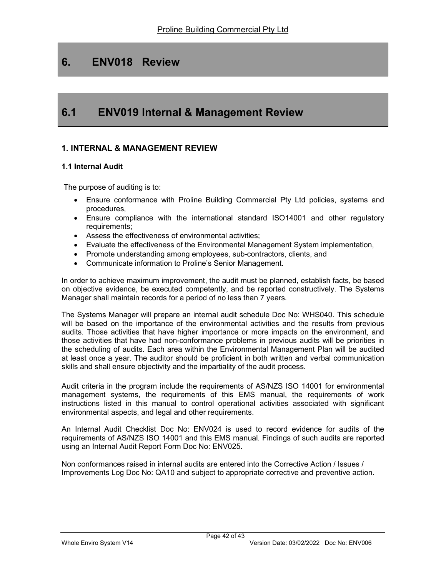## 6. ENV018 Review

## 6.1 ENV019 Internal & Management Review

### 1. INTERNAL & MANAGEMENT REVIEW

#### 1.1 Internal Audit

The purpose of auditing is to:

- Ensure conformance with Proline Building Commercial Pty Ltd policies, systems and procedures,
- Ensure compliance with the international standard ISO14001 and other regulatory requirements;
- Assess the effectiveness of environmental activities;
- Evaluate the effectiveness of the Environmental Management System implementation,
- Promote understanding among employees, sub-contractors, clients, and
- Communicate information to Proline's Senior Management.

In order to achieve maximum improvement, the audit must be planned, establish facts, be based on objective evidence, be executed competently, and be reported constructively. The Systems Manager shall maintain records for a period of no less than 7 years.

The Systems Manager will prepare an internal audit schedule Doc No: WHS040. This schedule will be based on the importance of the environmental activities and the results from previous audits. Those activities that have higher importance or more impacts on the environment, and those activities that have had non-conformance problems in previous audits will be priorities in the scheduling of audits. Each area within the Environmental Management Plan will be audited at least once a year. The auditor should be proficient in both written and verbal communication skills and shall ensure objectivity and the impartiality of the audit process.

Audit criteria in the program include the requirements of AS/NZS ISO 14001 for environmental management systems, the requirements of this EMS manual, the requirements of work instructions listed in this manual to control operational activities associated with significant environmental aspects, and legal and other requirements.

An Internal Audit Checklist Doc No: ENV024 is used to record evidence for audits of the requirements of AS/NZS ISO 14001 and this EMS manual. Findings of such audits are reported using an Internal Audit Report Form Doc No: ENV025.

Non conformances raised in internal audits are entered into the Corrective Action / Issues / Improvements Log Doc No: QA10 and subject to appropriate corrective and preventive action.